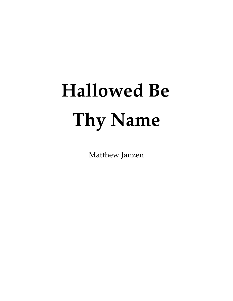# Hallowed Be Thy Name

Matthew Janzen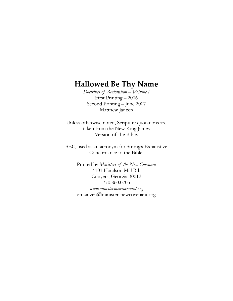### Hallowed Be Thy Name

Doctrines of Restoration – Volume I First Printing – 2006 Second Printing – June 2007 Matthew Janzen

Unless otherwise noted, Scripture quotations are taken from the New King James Version of the Bible.

SEC, used as an acronym for Strong's Exhaustive Concordance to the Bible.

> Printed by Ministers of the New Covenant 4101 Haralson Mill Rd. Conyers, Georgia 30012 770.860.0705 www.ministersnewcovenant.org emjanzen@ministersnewcovenant.org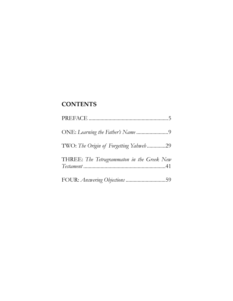### **CONTENTS**

| TWO: The Origin of Forgetting Yahweh29     |
|--------------------------------------------|
| THREE: The Tetragrammaton in the Greek New |
| FOUR: Answering Objections 59              |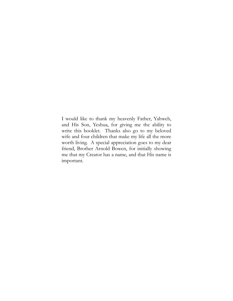I would like to thank my heavenly Father, Yahweh, and His Son, Yeshua, for giving me the ability to write this booklet. Thanks also go to my beloved wife and four children that make my life all the more worth living. A special appreciation goes to my dear friend, Brother Arnold Bowen, for initially showing me that my Creator has a name, and that His name is important.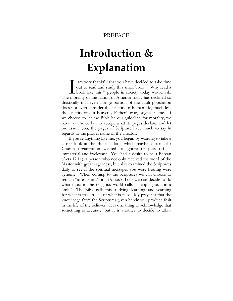### Introduction & Explanation

 am very thankful that you have decided to take time out to read and study this small book. "Why read a book like this?" people in society today would ask. I am very thankful that you have decided to take time<br>out to read and study this small book. "Why read a<br>book like this?" people in society today would ask.<br>The morality of the nation of America today has declined so drastically that even a large portion of the adult population does not even consider the sanctity of human life, much less the sanctity of our heavenly Father's true, original name. If we choose to let the Bible be our guideline for morality, we have no choice but to accept what its pages declare, and let me assure you, the pages of Scripture have much to say in regards to the proper name of the Creator.

If you're anything like me, you began by wanting to take a closer look at the Bible, a look which maybe a particular Church organization wanted to ignore or pass off as immaterial and irrelevant. You had a desire to be a Berean (Acts 17:11), a person who not only received the word of the Master with great eagerness, but also examined the Scriptures daily to see if the spiritual messages you were hearing were genuine. When coming to the Scriptures we can choose to remain "at ease in Zion" (Amos 6:1) or we can decide to do what most in the religious world calls, "stepping out on a limb". The Bible calls this studying, learning, and yearning for what is true in lieu of what is false. My prayer is that the knowledge from the Scriptures given herein will produce fruit in the life of the believer. It is one thing to acknowledge that something is accurate, but it is another to decide to allow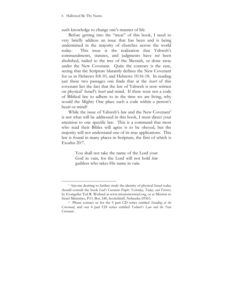$\overline{a}$ 

such knowledge to change one's manner of life.

Before getting into the "meat" of this book, I need to very briefly address an issue that has been and is being undermined in the majority of churches across the world today. This issue is the realization that Yahweh's commandments, statutes, and judgments have *not* been abolished, nailed to the tree of the Messiah, or done away under the New Covenant. Quite the contrary is the case, seeing that the Scripture blatantly defines the New Covenant for us in Hebrews 8:8-10, and Hebrews 10:16-18. In reading just these two passages one finds that at the *heart* of this covenant lies the fact that the law of Yahweh is now written on physical<sup>1</sup> Israel's *heart* and mind. If there were not a code of Biblical law to adhere to in the time we are living, why would the Mighty One place such a code within a person's heart or mind?

While the issue of Yahweh's law and the New Covenant<sup>2</sup> is not what will be addressed in this book, I must direct your attention to one specific law. This is a command that most who read their Bibles will agree is to be obeyed, but the majority will not understand one of its true applications. This law is found in many places in Scripture, the first of which is Exodus 20:7.

> You shall not take the name of the Lord your God in vain, for the Lord will not hold him guiltless who takes His name in vain.

<sup>&</sup>lt;sup>1</sup> Anyone desiring to further study the identity of physical Israel today should consult the book God's Covenant People: Yesterday, Today, and Forever, by Evangelist Ted R. Weiland at www.missiontoisrael.org, or at Mission to Israel Ministries, P.O. Box 248, Scottsbluff, Nebraska 69363.

<sup>&</sup>lt;sup>2</sup> Please contact us for the 9 part CD series entitled Standing at the Crossroad, and our 4 part CD series entitled Yahweh's Law and the New Covenant.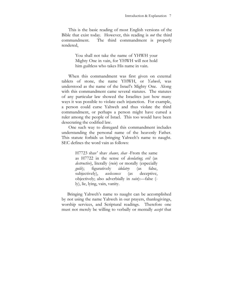This is the basic reading of most English versions of the Bible that exist today. However, this reading is not the third commandment. The third commandment is properly rendered,

> You shall not take the name of YHWH your Mighty One in vain, for YHWH will not hold him guiltless who takes His name in vain.

When this commandment was first given on external tablets of stone, the name YHWH, or Yahweh, was understood as the name of the Israel's Mighty One. Along with this commandment came several statutes. The statutes of any particular law showed the Israelites just how many ways it was possible to violate each injunction. For example, a person could curse Yahweh and thus violate the third commandment, or perhaps a person might have cursed a ruler among the people of Israel. This too would have been desecrating the codified law.

One such way to disregard this commandment includes understanding the personal name of the heavenly Father. This statute forbids us bringing Yahweh's name to naught. SEC defines the word vain as follows:

> H7723 shav' shav shawv, shav -From the same as H7722 in the sense of desolating; evil (as destructive), literally (ruin) or morally (especially *guile*); figuratively *idolatry* (as false, subjectively), *uselessness* (as deceptive, objectively; also adverbially in vain):—false ( ly), lie, lying, vain, vanity.

 Bringing Yahweh's name to naught can be accomplished by not using the name Yahweh in our prayers, thanksgivings, worship services, and Scriptural readings. Therefore one must not merely be willing to verbally or mentally accept that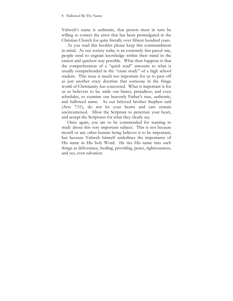Yahweh's name is authentic, that person must in turn be willing to correct the error that has been promulgated in the Christian Church for quite literally over fifteen hundred years.

 As you read this booklet please keep this commandment in mind. As our society today is an extremely fast paced one, people tend to engrain knowledge within their mind in the easiest and quickest way possible. What then happens is that the comprehension of a "quick read" amounts to what is usually comprehended in the "cram study" of a high school student. This issue is much too important for us to pass off as just another crazy doctrine that someone in the fringe world of Christianity has concocted. What is important is for us as believers to lay aside our biases, prejudices, and even schedules, to examine our heavenly Father's true, authentic, and hallowed name. As our beloved brother Stephen said (Acts 7:51), do not let your hearts and ears remain uncircumcised. Allow the Scripture to penetrate your heart, and accept the Scriptures for what they clearly say.

 Once again, you are to be commended for wanting to study about this very important subject. This is not because myself or any other human being believes it to be important, but because Yahweh himself underlines the importance of His name in His holy Word. He ties His name into such things as deliverance, healing, providing, peace, righteousness, and yes, even salvation.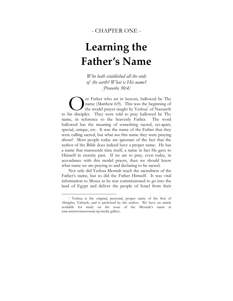# Learning the Father's Name

Who hath established all the ends of the earth? What is His name? [Proverbs 30:4]

ur Father who art in heaven, hallowed be Thy name (Matthew 6:9). This was the beginning of the model prayer taught by Yeshua<sup>1</sup> of Nazareth Our Father who art in heaven, hallowed be Thy<br>name (Matthew 6:9). This was the beginning of<br>the model prayer taught by Yeshua<sup>1</sup> of Nazareth<br>to his disciples. They were told to pray hallowed be Thy name, in reference to the heavenly Father. The word hallowed has the meaning of something sacred, set-apart, special, unique, etc. It was the name of the Father that they were calling sacred, but what was this name they were praying about? Most people today are ignorant of the fact that the author of the Bible does indeed have a proper name. He has a name that transcends time itself, a name in fact He gave to Himself in eternity past. If we are to pray, even today, in accordance with this model prayer, then we should know what name we are praying to and declaring to be sacred.

Not only did Yeshua Messiah teach the sacredness of the Father's name, but so did the Father Himself. It was vital information to Moses as he was commissioned to go into the land of Egypt and deliver the people of Israel from their

l

<sup>1</sup> Yeshua is the original, personal, proper name of the Son of Almighty Yahweh, and is preferred by the author. We have an article available for study on the issue of the Messiah's name at www.ministersnewcovenant.org media gallery.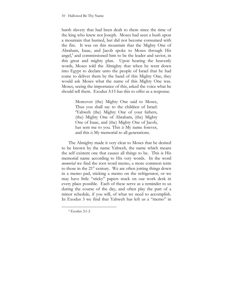harsh slavery that had been dealt to them since the time of the king who knew not Joseph. Moses had seen a bush upon a mountain that burned, but did not become consumed with the fire. It was on this mountain that the Mighty One of Abraham, Isaac, and Jacob spoke to Moses through His angel,<sup>2</sup> and commissioned him to be the leader and savior, in this great and mighty plan. Upon hearing the heavenly words, Moses told the Almighty that when he went down into Egypt to declare unto the people of Israel that he had come to deliver them by the hand of this Mighty One, they would ask Moses what the name of this Mighty One was. Moses, seeing the importance of this, asked the voice what he should tell them. Exodus 3:15 has this to offer as a response.

> Moreover (the) Mighty One said to Moses, Thus you shall say to the children of Israel: 'Yahweh (the) Mighty One of your fathers, (the) Mighty One of Abraham, (the) Mighty One of Isaac, and (the) Mighty One of Jacob, has sent me to you. This is My name forever, and this *is* My memorial to all generations.

The Almighty made it very clear to Moses that he desired to be known by the name Yahweh, the name which means the self existent one that causes all things to be. This is His memorial name according to His very words. In the word memorial we find the root word memo, a more common term to those in the  $21<sup>st</sup>$  century. We are often jotting things down in a memo pad, sticking a memo on the refrigerator, or we may have little "sticky" papers stuck on our work desk in every place possible. Each of these serve as a reminder to us during the course of the day, and often play the part of a minor schedule, if you will, of what we need to accomplish. In Exodus 3 we find that Yahweh has left us a "memo" in

<sup>2</sup> Exodus 3:1-2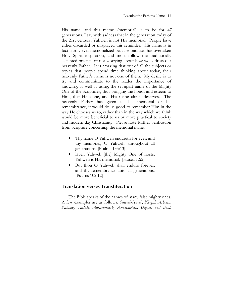His name, and this memo (memorial) is to be for all generations. I say with sadness that in the generation today of the 21st century, Yahweh is not His memorial. People have either discarded or misplaced this reminder. His name is in fact hardly ever memorialized because tradition has overtaken Holy Spirit inspiration, and most follow the traditionally excepted practice of not worrying about how we address our heavenly Father. It is amazing that out of all the subjects or topics that people spend time thinking about today, their heavenly Father's name is not one of them. My desire is to try and communicate to the reader the importance of knowing, as well as using, the set-apart name of the Mighty One of the Scriptures, thus bringing the honor and esteem to Him, that He alone, and His name alone, deserves. The heavenly Father has given us his memorial or his remembrance, it would do us good to remember Him in the way He chooses us to, rather than in the way which we think would be more beneficial to us or more practical to society and modern day Christianity. Please note further verification from Scripture concerning the memorial name.

- Thy name O Yahweh endureth for ever; and thy memorial, O Yahweh, throughout all generations. [Psalms 135:13]
- Even Yahweh [the] Mighty One of hosts; Yahweh is His memorial. [Hosea 12:5]
- But thou O Yahweh shall endure forever; and thy remembrance unto all generations. [Psalms 102:12]

#### Translation verses Transliteration

The Bible speaks of the names of many false mighty ones. A few examples are as follows: Succoth-benoth, Nergal, Ashima, Nibhaz, Tartak, Adrammelech, Anammelech, Dagon, and Baal.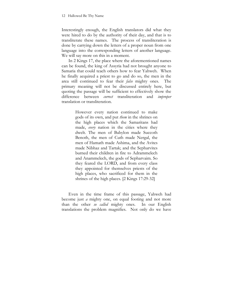Interestingly enough, the English translators did what they were hired to do by the authority of their day, and that is to transliterate these names. The process of transliteration is done by carrying down the letters of a proper noun from one language into the corresponding letters of another language. We will say more on this in a moment.

In 2 Kings 17, the place where the aforementioned names can be found, the king of Assyria had not brought anyone to Samaria that could teach others how to fear Yahweh. When he finally acquired a priest to go and do so, the men in the area still continued to fear their false mighty ones. The primary meaning will not be discussed entirely here, but quoting the passage will be sufficient to effectively show the difference between *correct* transliteration and *improper* translation or transliteration.

> However every nation continued to make gods of its own, and put *them* in the shrines on the high places which the Samaritans had made, every nation in the cities where they dwelt. The men of Babylon made Succoth Benoth, the men of Cuth made Nergal, the men of Hamath made Ashima, and the Avites made Nibhaz and Tartak; and the Sepharvites burned their children in fire to Adrammelech and Anammelech, the gods of Sepharvaim. So they feared the LORD, and from every class they appointed for themselves priests of the high places, who sacrificed for them in the shrines of the high places. [2 Kings 17:29-32]

Even in the time frame of this passage, Yahweh had become just a mighty one, on equal footing and not more than the other so called mighty ones. In our English translations the problem magnifies. Not only do we have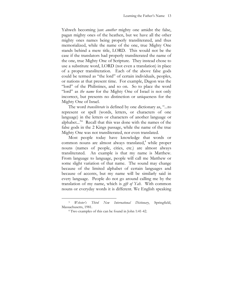Yahweh becoming just *another* mighty one amidst the false, pagan mighty ones of the heathen, but we have all the other mighty ones names being properly transliterated, and thus memorialized, while the name of the one, true Mighty One stands behind a mere title, LORD. This would not be the case if the translators had properly transliterated the name of the one, true Mighty One of Scripture. They instead chose to use a substitute word, LORD (not even a translation) in place of a proper transliteration. Each of the above false gods could be termed as "the lord" of certain individuals, peoples, or nations at that present time. For example, Dagon was the "lord" of the Philistines, and so on. So to place the word "lord" as the name for the Mighty One of Israel is not only incorrect, but presents no distinction or uniqueness for the Mighty One of Israel.

The word *transliterate* is defined by one dictionary as, "...to represent or spell (words, letters, or characters of one language) in the letters or characters of another language or alphabet...<sup>3</sup>" Recall that this was done with the names of the false gods in the 2 Kings passage, while the name of the true Mighty One was not transliterated, nor even translated.

Most people today have knowledge that words or common nouns are almost always translated,<sup>4</sup> while proper nouns (names of people, cities, etc.) are almost always transliterated. An example is that my name is Matthew. From language to language, people will call me Matthew or some slight variation of that name. The sound may change because of the limited alphabet of certain languages and because of accents, but my name will be similarly said in every language. People do not go around calling me by the translation of my name, which is gift of Yah. With common nouns or everyday words it is different. We English speaking

l

<sup>&</sup>lt;sup>3</sup> Webster's Third New International Dictionary, Springfield, Massachusetts, 1981.

<sup>4</sup> Two examples of this can be found in John 1:41-42.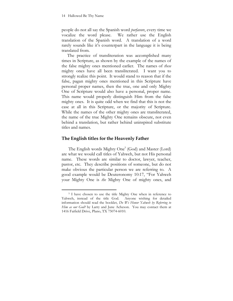people do not all say the Spanish word porfavore, every time we vocalize the word please. We rather use the English translation of the Spanish word. A translation of a word rarely sounds like it's counterpart in the language it is being translated from.

 The practice of transliteration was accomplished many times in Scripture, as shown by the example of the names of the false mighty ones mentioned earlier. The names of these mighty ones have all been transliterated. I want you to strongly realize this point. It would stand to reason that if the false, pagan mighty ones mentioned in this Scripture have personal proper names, then the true, one and only Mighty One of Scripture would also have a personal, proper name. This name would properly distinguish Him from the false mighty ones. It is quite odd when we find that this is not the case at all in this Scripture, or the majority of Scripture. While the names of the other mighty ones are transliterated, the name of the true Mighty One remains obscure, not even behind a translation, but rather behind uninspired substitute titles and names.

#### The English titles for the Heavenly Father

 $\overline{a}$ 

The English words Mighty One<sup>5</sup> (God) and Master (Lord) are what we would call titles of Yahweh, but not His personal name. These words are similar to doctor, lawyer, teacher, pastor, etc. They describe positions of someone, but do not make obvious the particular person we are referring to. A good example would be Deuteronomy 10:17, "For Yahweh your Mighty One is the Mighty One of mighty ones, and

<sup>5</sup> I have chosen to use the title Mighty One when in reference to Yahweh, instead of the title God. Anyone wishing for detailed information should read the booklet, Do We Honor Yahweh by Referring to Him as our God? by Larry and June Acheson. You may contact them at 1416 Faifield Drive, Plano, TX 75074-6010.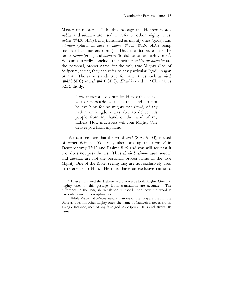Master of masters...<sup>6</sup>" In this passage the Hebrew words elohim and *adonaim* are used to refer to other mighty ones. elohim (#430 SEC) being translated as mighty ones (gods), and adonaim (plural of adon or adonai #113, #136 SEC) being translated as masters (lords). Thus the Scriptures use the terms elohim (gods) and adonaim (lords) for other mighty ones<sup>7</sup>. We can assuredly conclude that neither elohim or adonaim are the personal, proper name for the only true Mighty One of Scripture, seeing they can refer to any particular "god", pagan or not. The same stands true for other titles such as eloah (#433 SEC) and el (#410 SEC). Eloah is used in 2 Chronicles 32:15 thusly:

> Now therefore, do not let Hezekiah deceive you or persuade you like this, and do not believe him; for no mighty one *(eloah)* of any nation or kingdom was able to deliver his people from my hand or the hand of my fathers. How much less will your Mighty One deliver you from my hand?

We can see here that the word *eloah* (SEC #433), is used of other deities. You may also look up the term el in Deuteronomy 32:12 and Psalms 81:9 and you will see that it too, does not pass the test. Thus el, eloah, elohim, adon, adonai, and *adonaim* are not the personal, proper name of the true Mighty One of the Bible, seeing they are not exclusively used in reference to Him. He must have an exclusive name to

<sup>&</sup>lt;sup>6</sup> I have translated the Hebrew word *elohim* as both Mighty One and mighty ones in this passage. Both translations are accurate. The difference in the English translation is based upon how the word is particularly used in a scripture verse.

<sup>&</sup>lt;sup>7</sup> While *elohim* and *adonaim* (and variations of the two) are used in the Bible as titles for other mighty ones, the name of Yahweh is never, not in a single instance, used of any false god in Scripture. It is exclusively His name.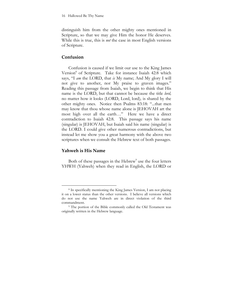distinguish him from the other mighty ones mentioned in Scripture, so that we may give Him the honor He deserves. While this is true, this is *not* the case in most English versions of Scripture.

#### Confusion

Confusion is caused if we limit our use to the King James Version<sup>8</sup> of Scripture. Take for instance Isaiah 42:8 which says, "I *am* the LORD, that *is* My name; And My glory I will not give to another, nor My praise to graven images." Reading this passage from Isaiah, we begin to think that His name is the LORD, but that cannot be because the title *lord*, no matter how it looks (LORD, Lord, lord), is shared by the other mighty ones. Notice then Psalms 83:18: "...that men may know that thou whose name alone is JEHOVAH art the most high over all the earth…" Here we have a direct contradiction to Isaiah 42:8. This passage says his name (singular) is JEHOVAH, but Isaiah said his name (singular) is the LORD. I could give other numerous contradictions, but instead let me show you a great harmony with the above two scriptures when we consult the Hebrew text of both passages.

#### Yahweh is His Name

l

Both of these passages in the Hebrew<sup>9</sup> use the four letters YHWH (Yahweh) when they read in English, the LORD or

<sup>8</sup> In specifically mentioning the King James Version, I am not placing it on a lower status than the other versions. I believe all versions which do not use the name Yahweh are in direct violation of the third commandment.

<sup>9</sup> The portion of the Bible commonly called the Old Testament was originally written in the Hebrew language.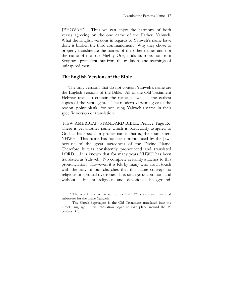$JEHOVAH<sup>10</sup>$ . Thus we can enjoy the harmony of both verses agreeing on the one name of the Father, Yahweh. What the English versions in regards to Yahweh's name have done is broken the third commandment. Why they chose to properly transliterate the names of the other deities and not the name of the true Mighty One, finds its roots not from Scriptural precedent, but from the traditions and teachings of uninspired men.

#### The English Versions of the Bible

The only versions that do not contain Yahweh's name are the English versions of the Bible. All of the Old Testament Hebrew texts do contain the name, as well as the earliest copies of the Septuagint.<sup>11</sup> The modern versions give us the reason, point blank, for not using Yahweh's name in their specific version or translation.

NEW AMERICAN STANDARD BIBLE: Preface, Page IX There is yet another name which is particularly assigned to God as his special or proper name, that is, the four letters YHWH. This name has not been pronounced by the Jews because of the great sacredness of the Divine Name. Therefore it was consistently pronounced and translated LORD. ...It is known that for many years YHWH has been translated as Yahweh. No complete certainty attaches to this pronunciation. However, it is felt by many who are in touch with the laity of our churches that this name conveys no religious or spiritual overtones. It is strange, uncommon, and without sufficient religious and devotional background.

<sup>10</sup> The word God when written as "GOD" is also an uninspired substitute for the name Yahweh.

<sup>11</sup> The Greek Septuagint is the Old Testament translated into the Greek language. This translation began to take place around the 3rd century B.C.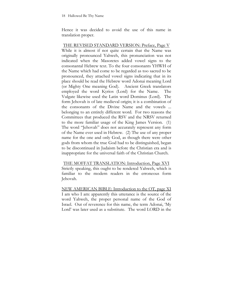Hence it was decided to avoid the use of this name in translation proper.

THE REVISED STANDARD VERSION: Preface, Page V While it is almost if not quite certain that the Name was originally pronounced Yahweh, this pronunciation was not indicated when the Masoretes added vowel signs to the consonantal Hebrew text. To the four consonants YHWH of the Name which had come to be regarded as too sacred to be pronounced, they attached vowel signs indicating that in its place should be read the Hebrew word Adonai meaning Lord (or Mighty One meaning God). Ancient Greek translators employed the word Kyrios (Lord) for the Name. The Vulgate likewise used the Latin word Dominus (Lord). The form Jehovah is of late medieval origin; it is a combination of the consonants of the Divine Name and the vowels ... belonging to an entirely different word. For two reasons the Committees that produced the RSV and the NRSV returned to the more familiar usage of the King James Version. (1) The word "Jehovah" does not accurately represent any form of the Name ever used in Hebrew. (2) The use of any proper name for the one and only God, as though there were other gods from whom the true God had to be distinguished, began to be discontinued in Judaism before the Christian era and is inappropriate for the universal faith of the Christian Church.

THE MOFFAT TRANSLATION: Introduction, Page XVI

Strictly speaking, this ought to be rendered Yahweh, which is familiar to the modern readers in the erroneous form Jehovah.

NEW AMERICAN BIBLE: Introduction to the OT, page XI I am who I am: apparently this utterance is the source of the word Yahweh, the proper personal name of the God of Israel. Out of reverence for this name, the term Adonai, 'My Lord' was later used as a substitute. The word LORD in the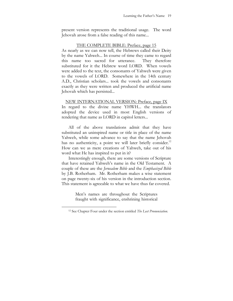present version represents the traditional usage. The word Jehovah arose from a false reading of this name...

#### THE COMPLETE BIBLE: Preface, page 15

As nearly as we can now tell, the Hebrews called their Deity by the name Yahweh... In course of time they came to regard this name too sacred for utterance. They therefore substituted for it the Hebrew word LORD. When vowels were added to the text, the consonants of Yahweh were given to the vowels of LORD. Somewhere in the 14th century A.D., Christian scholars... took the vowels and consonants exactly as they were written and produced the artificial name Jehovah which has persisted...

#### NEW INTERNATIONAL VERSION: Preface, page IX

In regard to the divine name YHWH... the translators adopted the device used in most English versions of rendering that name as LORD in capitol letters...

All of the above translations admit that they have substituted an uninspired name or title in place of the name Yahweh, while some advance to say that the name Jehovah has no authenticity, a point we will later briefly consider.<sup>12</sup> How can we as mere creations of Yahweh, take out of his word what He has inspired to put in it?

Interestingly enough, there are some versions of Scripture that have retained Yahweh's name in the Old Testament. A couple of these are the Jerusalem Bible and the Emphasized Bible by J.B. Rotherham. Mr. Rotherham makes a wise statement on page twenty-six of his version in the introduction section. This statement is agreeable to what we have thus far covered.

> Men's names are throughout the Scriptures fraught with significance, enshrining historical

l

<sup>&</sup>lt;sup>12</sup> See Chapter Four under the section entitled *The Lost Pronunciation*.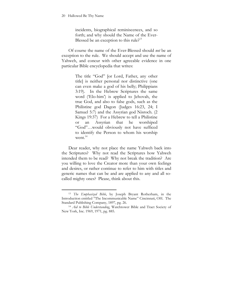$\overline{a}$ 

incidents, biographical reminiscences, and so forth; and why should the Name of the Ever-Blessed be an exception to this rule?<sup>13</sup>

Of course the name of the Ever-Blessed should not be an exception to the rule. We should accept and use the name of Yahweh, and concur with other agreeable evidence in one particular Bible encyclopedia that writes:

> The title "God" [or Lord, Father, any other title] is neither personal nor distinctive (one can even make a god of his belly; Philippians 3:19). In the Hebrew Scriptures the same word ('Elo-him') is applied to Jehovah, the true God, and also to false gods, such as the Philistine god Dagon (Judges 16:23, 24; I Samuel 5:7) and the Assyrian god Nisroch. (2 Kings 19:37) For a Hebrew to tell a Philistine or an Assyrian that he worshiped "God"…would obviously not have sufficed to identify the Person to whom his worship went. $14$

Dear reader, why not place the name Yahweh back into the Scriptures? Why not read the Scriptures how Yahweh intended them to be read? Why not break the tradition? Are you willing to love the Creator more than your own feelings and desires, or rather continue to refer to him with titles and generic names that can be and are applied to any and all socalled mighty ones? Please, think about this.

<sup>13</sup> The Emphasized Bible, by Joseph Bryant Rotherham, in the Introduction entitled "The Incommunicable Name" Cincinnati, OH. The Standard Publishing Company, 1897, pg. 26.

<sup>&</sup>lt;sup>14</sup> Aid to Bible Understanding, Watchtower Bible and Tract Society of New York, Inc. 1969, 1971, pg. 885.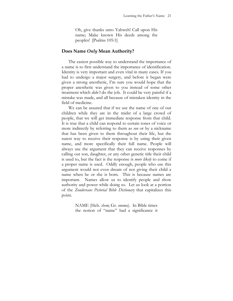Oh, give thanks unto Yahweh! Call upon His name; Make known His deeds among the peoples! [Psalms 105:1]

#### Does Name Only Mean Authority?

The easiest possible way to understand the importance of a name is to first understand the importance of identification. Identity is very important and even vital in many cases. If you had to undergo a major surgery, and before it began were given a strong anesthetic, I'm sure you would hope that the proper anesthetic was given to you instead of some other treatment which didn't do the job. It could be very painful if a mistake was made, and all because of mistaken identity in the field of medicine.

We can be assured that if we use the name of one of our children while they are in the midst of a large crowd of people, that we will get immediate response from that child. It is true that a child can respond to certain tones of voice or more indirectly by referring to them as son or by a nickname that has been given to them throughout their life, but the surest way to receive their response is by using their given name, and more specifically their full name. People will always use the argument that they can receive responses by calling out son, daughter, or any other generic title their child is used to, but the fact is the response is *more likely* to come if a proper name is used. Oddly enough, people who use this argument would not even dream of not giving their child a name when he or she is born. This is because names are important. Names allow us to identify people and show authority and power while doing so. Let us look at a portion of the Zondervans Pictorial Bible Dictionary that capitalizes this point.

> NAME (Heb. shem; Gr. onoma). In Bible times the notion of "name" had a significance it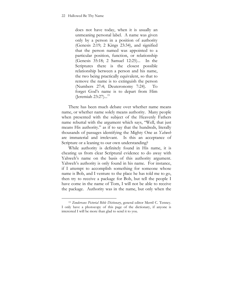does not have today, when it is usually an unmeaning personal label. A name was given only by a person in a position of authority (Genesis 2:19; 2 Kings 23:34), and signified that the person named was appointed to a particular position, function, or relationship (Genesis 35:18; 2 Samuel 12:25)... In the Scriptures there is the closest possible relationship between a person and his name, the two being practically equivalent, so that to remove the name is to extinguish the person (Numbers 27:4; Deuteronomy 7:24). To forget God's name is to depart from Him (Jeremiah 23:27)...<sup>15</sup>

There has been much debate over whether name means name, or whether name solely means authority. Many people when presented with the subject of the Heavenly Fathers name rebuttal with the argument which says, "Well, that just means His authority." as if to say that the hundreds, literally thousands of passages identifying the Mighty One as Yahweh are immaterial and irrelevant. Is this an acceptance of Scripture or a leaning to our own understanding?

While authority is definitely found in His name, it is cheating us from clear Scriptural evidence to do away with Yahweh's name on the basis of this authority argument. Yahweh's authority is only found in his name. For instance, if I attempt to accomplish something for someone whose name is Bob, and I venture to the place he has told me to go, then try to receive a package for Bob, but tell the people I have come in the name of Tom, I will not be able to receive the package. Authority was in the name, but only when the

<sup>&</sup>lt;sup>15</sup> Zondervans Pictorial Bible Dictionary, general editor Merril C. Tenney. I only have a photocopy of this page of the dictionary, if anyone is interested I will be more than glad to send it to you.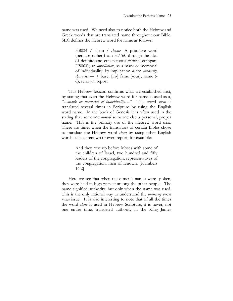name was used. We need also to notice both the Hebrew and Greek words that are translated name throughout our Bible. SEC defines the Hebrew word for name as follows:

> H8034 / shem / shame -A primitive word (perhaps rather from H7760 through the idea of definite and conspicuous *position*; compare H8064); an *appellation*, as a mark or memorial of individuality; by implication honor, authority,  $character:$  + base, [in-] fame [-ous], name (d), renown, report.

This Hebrew lexicon confirms what we established first, by stating that even the Hebrew word for name is used as a, "…mark or memorial of individuality…" This word shem is translated several times in Scripture by using the English word name. In the book of Genesis it is often used in the stating that someone *named* someone else a personal, proper name. This is the primary use of the Hebrew word shem. There are times when the translators of certain Bibles chose to translate the Hebrew word shem by using other English words such as renown or even report, for example:

> And they rose up before Moses with some of the children of Israel, two hundred and fifty leaders of the congregation, representatives of the congregation, men of renown. [Numbers 16:2]

Here we see that when these men's names were spoken, they were held in high respect among the other people. The name signified authority, but only when the name was used. This is the only rational way to understand the *authority verses* name issue. It is also interesting to note that of all the times the word shem is used in Hebrew Scripture, it is never, not one entire time, translated authority in the King James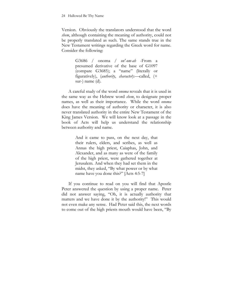Version. Obviously the translators understood that the word shem, although containing the meaning of authority, could not be properly translated as such. The same stands true in the New Testament writings regarding the Greek word for name. Consider the following:

> G3686 / onoma / on'-om-ah -From a presumed derivative of the base of G1097 (compare G3685); a "name" (literally or figuratively), (authority, character):—called, (+ sur-) name (d).

A careful study of the word onoma reveals that it is used in the same way as the Hebrew word shem, to designate proper names, as well as their importance. While the word onoma does have the meaning of authority or character, it is also never translated authority in the entire New Testament of the King James Version. We will know look at a passage in the book of Acts will help us understand the relationship between authority and name.

> And it came to pass, on the next day, that their rulers, elders, and scribes, as well as Annas the high priest, Caiaphas, John, and Alexander, and as many as were of the family of the high priest, were gathered together at Jerusalem. And when they had set them in the midst, they asked, "By what power or by what name have you done this?" [Acts 4:5-7]

If you continue to read on you will find that Apostle Peter answered the question by using a proper name. Peter did not answer saying, "Oh, it is actually authority that matters and we have done it by the authority!" This would not even make any sense. Had Peter said this, the next words to come out of the high priests mouth would have been, "By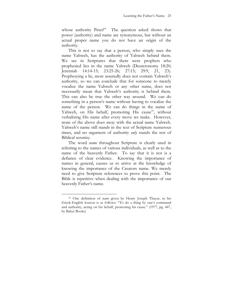whose authority Peter!" The question asked shows that power (authority) and name are synonymous, but without an actual proper name you do not have an origin of the authority.

This is not to say that a person, who simply uses the name Yahweh, has the authority of Yahweh behind them. We see in Scriptures that there were prophets who prophesied lies in the name Yahweh (Deuteronomy 18:20; Jeremiah 14:14-15; 23:25-26; 27:15; 29:9, 21, 23). Prophesying a lie, most assuredly does not contain Yahweh's authority, so we can conclude that for someone to merely vocalize the name Yahweh or any other name, does not necessarily mean that Yahweh's authority is behind them. This can also be true the other way around. We can do something in a person's name without having to vocalize the name of the person. We can do things in the name of Yahweh, on His behalf, promoting His cause<sup>16</sup>, without verbalizing His name after every move we make. However, none of the above does away with the actual name Yahweh. Yahweh's name still stands in the text of Scripture numerous times, and no argument of authority *only* stands the test of Biblical scrutiny.

The word *name* throughout Scripture is clearly used in referring to the names of various individuals, as well as to the name of the heavenly Father. To say that it is not is a defiance of clear evidence. Knowing the importance of names in general, causes us to arrive at the knowledge of knowing the importance of the Creators name. We merely need to give Scripture references to prove this point. The Bible is repetitive when dealing with the importance of our heavenly Father's name.

l

<sup>&</sup>lt;sup>16</sup> One definition of *name* given by Henry Joseph Thayer, in his Greek-English lexicon is as follows: "To do a thing by one's command and authority, acting on his behalf, promoting his cause." (1977, pg. 447, by Baker Books)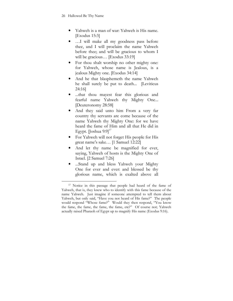l

- Yahweh is a man of war: Yahweh is His name. [Exodus 15:3]
- ...I will make all my goodness pass before thee, and I will proclaim the name Yahweh before thee; and will be gracious to whom I will be gracious… [Exodus 33:19]
- For thou shalt worship no other mighty one: for Yahweh, whose name is Jealous, is a jealous Mighty one. [Exodus 34:14]
- And he that blasphemeth the name Yahweh he shall surely be put to death... [Leviticus 24:16]
- ...that thou mayest fear this glorious and fearful name Yahweh thy Mighty One... [Deuteronomy 28:58]
- And they said unto him From a very far country thy servants are come because of the name Yahweh thy Mighty One: for we have heard the fame of Him and all that He did in Egypt. [Joshua  $9:9$ ]<sup>17</sup>
- For Yahweh will not forget His people for His great name's sake… [1 Samuel 12:22]
- And let thy name be magnified for ever, saying, Yahweh of hosts is the Mighty One of Israel. [2 Samuel 7:26]
- ...Stand up and bless Yahweh your Mighty One for ever and ever: and blessed be thy glorious name, which is exalted above all

<sup>17</sup> Notice in this passage that people had heard of the fame of Yahweh, that is, they knew who to identify with this fame because of the name Yahweh. Just imagine if someone attempted to tell them about Yahweh, but only said, "Have you not heard of His fame?" The people would respond "Whose fame?" Would they then respond, "You know the fame, the fame, the fame, the fame, etc?" Of course not; Yahweh actually raised Pharaoh of Egypt up to magnify His name (Exodus 9:16).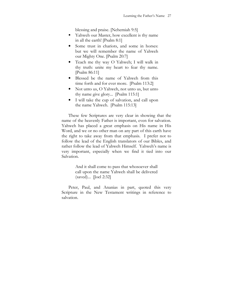blessing and praise. [Nehemiah 9:5]

- Yahweh our Master, how excellent is thy name in all the earth! [Psalm 8:1]
- Some trust in chariots, and some in horses: but we will remember the name of Yahweh our Mighty One. [Psalm 20:7]
- Teach me thy way O Yahweh; I will walk in thy truth: unite my heart to fear thy name. [Psalm 86:11]
- Blessed be the name of Yahweh from this time forth and for ever more. [Psalm 113:2]
- Not unto us, O Yahweh, not unto us, but unto thy name give glory... [Psalm 115:1]
- I will take the cup of salvation, and call upon the name Yahweh. [Psalm 115:13]

These few Scriptures are very clear in showing that the name of the heavenly Father is important, even for salvation. Yahweh has placed a great emphasis on His name in His Word, and we or no other man on any part of this earth have the right to take away from that emphasis. I prefer not to follow the lead of the English translators of our Bibles, and rather follow the lead of Yahweh Himself. Yahweh's name is very important, especially when we find it tied into our Salvation.

> And it shall come to pass that whosoever shall call upon the name Yahweh shall be delivered (saved)... [Joel 2:32]

Peter, Paul, and Ananias in part, quoted this very Scripture in the New Testament writings in reference to salvation.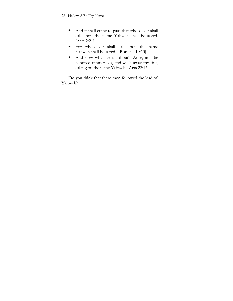- And it shall come to pass that whosoever shall call upon the name Yahweh shall be saved. [Acts 2:21]
- For whosoever shall call upon the name Yahweh shall be saved. [Romans 10:13]
- And now why tarriest thou? Arise, and be baptized (immersed), and wash away thy sins, calling on the name Yahweh. [Acts 22:16]

Do you think that these men followed the lead of Yahweh?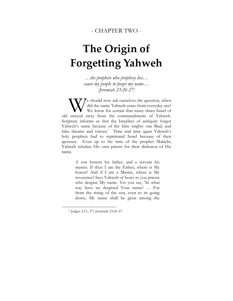# The Origin of Forgetting Yahweh

…the prophets who prophesy lies… cause my people to forget my name... [Jeremiah 23:26-27]

Te should now ask ourselves the question, when did the name Yahweh cease from everyday use? We know for certain that many times Israel of We should now ask ourselves the question, when<br>
We did the name Yahweh cease from everyday use?<br>
old strayed away from the commandments of Yahweh. Scripture informs us that the Israelites of antiquity forgot Yahweh's name because of the false mighty one Baal, and false dreams and visions.<sup>1</sup> Time and time again Yahweh's holy prophets had to reprimand Israel because of their apostasy. Even up to the time of the prophet Malachi, Yahweh rebukes His own priests for their dishonor of His name.

> A son honors his father, and a servant his master. If then I am the Father, where is My honor? And if I am a Master, where is My reverence? Says Yahweh of hosts to you priests who despise My name. Yet you say, 'In what way have we despised Your name? … For from the rising of the sun, even to its going down, My name shall be great among the

<sup>1</sup> Judges 2:11; 3:7; Jeremiah 23:26-27.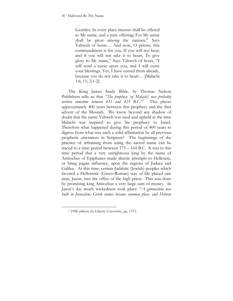Gentiles; In every place incense shall be offered to My name, and a pure offering; For My name shall be great among the nations," Says Yahweh of hosts… And now, O priests, this commandment is for you. If you will not hear, and if you will not take it to heart, To give glory to My name," Says Yahweh of hosts, "I will send a curse upon you, and I will curse your blessings. Yes, I have cursed them already, because you do not take it to heart… [Malachi 1:6, 11; 2:1-2]

The King James Study Bible, by Thomas Nelson Publishers tells us that "The prophecy [of Malachi] was probably written sometime between 433 and 425 B.C.<sup>32</sup> This places approximately 400 years between this prophecy and the first advent of the Messiah. We know beyond any shadow of doubt that the name Yahweh was used and upheld at the time Malachi was inspired to give his prophecy to Israel. Therefore what happened during this period of 400 years to digress from what was such a solid affirmation by all previous prophetic utterances in Scripture? The beginnings of the practice of refraining from using the sacred name can be traced to a time period between 175 – 164 B.C. It was in this time period that a very unrighteous king by the name of Antiochus of Epiphanes made drastic attempts to Hellenize, or bring pagan influence, upon the regions of Judaea and Galilee. At this time, certain Judahite (Jewish) peoples which favored a Hellenistic (Greco-Roman) way of life placed one man, Jason, into the office of the high priest. This was done by promising king Antiochus a very large sum of money. In Jason's day much wickedness took place: "A gymnasium was built in Jerusalem, Greek names became common place, and Hebrew

<sup>2</sup> 1988 edition, by Liberty University, pg. 1375.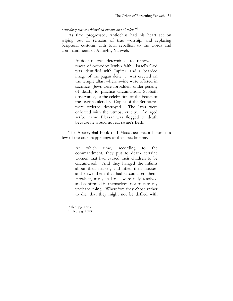#### orthodoxy was considered obscurant and obsolete."<sup>3</sup>

As time progressed, Antiochus had his heart set on wiping out all remains of true worship, and replacing Scriptural customs with total rebellion to the words and commandments of Almighty Yahweh.

> Antiochus was determined to remove all traces of orthodox Jewish faith. Israel's God was identified with Jupiter, and a bearded image of the pagan deity … was erected on the temple altar, where swine were offered in sacrifice. Jews were forbidden, under penalty of death, to practice circumcision, Sabbath observance, or the celebration of the Feasts of the Jewish calendar. Copies of the Scriptures were ordered destroyed. The laws were enforced with the utmost cruelty. An aged scribe name Eleazar was flogged to death because he would not eat swine's flesh.<sup>4</sup>

The Apocryphal book of I Maccabees records for us a few of the cruel happenings of that specific time.

> At which time, according to the commandment, they put to death certaine women that had caused their children to be circumcised. And they hanged the infants about their neckes, and rifled their houses, and slewe them that had circumcised them. Howbeit, many in Israel were fully resolved and confirmed in themselves, not to eate any vncleane thing. Wherefore they chose rather to die, that they might not be defiled with

<sup>3</sup> Ibid, pg. 1383.

<sup>4</sup> Ibid, pg. 1383.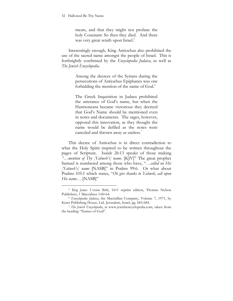$\overline{a}$ 

meats, and that they might not profane the holy Couenant: So then they died. And there was very great wrath upon Israel.<sup>5</sup>

Interestingly enough, King Antiochus also prohibited the use of the sacred name amongst the people of Israel. This is forthrightly confirmed by the Encyclopedia Judaica, as well as The Jewish Encyclopedia.

> Among the decrees of the Syrians during the persecutions of Antiochus Epiphanes was one forbidding the mention of the name of God.<sup>6</sup>

> The Greek Inquisition in Judaea prohibited the utterance of God's name, but when the Hasmoneans became victorious they decreed that God's Name should be mentioned even in notes and documents. The sages, however, opposed this innovation, as they thought the name would be defiled as the notes were canceled and thrown away as useless.<sup>7</sup>

This decree of Antiochus is in direct contradiction to what the Holy Spirit inspired to be written throughout the pages of Scripture. Isaiah 26:13 speaks of those making "...mention of Thy [Yahweh's] name. [KJV]" The great prophet Samuel is numbered among those who have, "...called on His  $[Yabweb's]$  name [NASB]" in Psalms 99:6. Or what about Psalms 105:1 which states, "Oh give thanks to Yahweh, call upon His name... [NASB]"

<sup>&</sup>lt;sup>5</sup> King James Version Bible, 1611 reprint edition, Thomas Nelson Publishers, 1 Maccabees 1:60-64.

<sup>6</sup> Encyclopedia Judaica, the Macmillan Company, Volume 7, 1971, by Keter Publishing House, Ltd. Jerusalem, Israel, pg. 683-684.

<sup>&</sup>lt;sup>7</sup> The Jewish Encyclopedia, at www.jewishencyclopedia.com, taken from the heading "Names of God".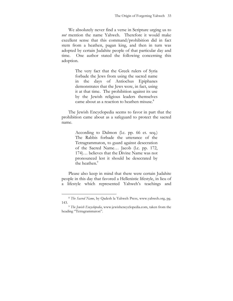We absolutely never find a verse in Scripture urging us to not mention the name Yahweh. Therefore it would make excellent sense that this command/prohibition did in fact stem from a heathen, pagan king, and then in turn was adopted by certain Judahite people of that particular day and time. One author stated the following concerning this adoption.

> The very fact that the Greek rulers of Syria forbade the Jews from using the sacred name in the days of Antiochus Epiphanes demonstrates that the Jews were, in fact, using it at that time. The prohibition against its use by the Jewish religious leaders themselves came about as a reaction to heathen misuse.<sup>8</sup>

The Jewish Encyclopedia seems to favor in part that the prohibition came about as a safeguard to protect the sacred name.

> According to Dalmon (l.c. pp. 66 et. seq.) The Rabbis forbade the utterance of the Tetragrammaton, to guard against desecration of the Sacred Name… Jacob (l.c. pp. 172, 174)… believes that the Divine Name was not pronounced lest it should be desecrated by the heathen.<sup>9</sup>

Please also keep in mind that there were certain Judahite people in this day that favored a Hellenistic lifestyle, in lieu of a lifestyle which represented Yahweh's teachings and

<sup>8</sup> The Sacred Name, by Qadesh la Yahweh Press, www.yahweh.org, pg. 143.

<sup>&</sup>lt;sup>9</sup> The Jewish Encyclopedia, www.jewishencyclopedia.com, taken from the heading "Tetragrammaton".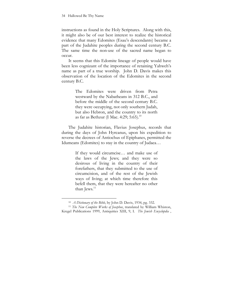instructions as found in the Holy Scriptures. Along with this, it might also be of our best interest to realize the historical evidence that many Edomites (Esau's descendants) became a part of the Judahite peoples during the second century B.C. The same time the non-use of the sacred name began to occur.

It seems that this Edomite lineage of people would have been less cognizant of the importance of retaining Yahweh's name as part of a true worship. John D. Davis makes this observation of the location of the Edomites in the second century B.C.

> The Edomites were driven from Petra westward by the Nabatheans in 312 B.C., and before the middle of the second century B.C. they were occupying, not only southern Judah, but also Hebron, and the country to its north as far as Bethzur (I Mac. 4:29; 5:65).<sup>10</sup>

The Judahite historian, Flavius Josephus, records that during the days of John Hyrcanus, upon his expedition to reverse the decrees of Antiochus of Epiphanes, permitted the Idumeans (Edomites) to stay in the country of Judaea…

> If they would circumcise… and make use of the laws of the Jews; and they were so desirous of living in the country of their forefathers, that they submitted to the use of circumcision, and of the rest of the Jewish ways of living; at which time therefore this befell them, that they were hereafter no other than Jews. $11$

<sup>&</sup>lt;sup>10</sup> *A Dictionary of the Bible*, by John D. Davis, 1934, pg. 332.

<sup>&</sup>lt;sup>11</sup> The New Complete Works of Josephus, translated by William Whiston, Kregel Publications 1999, Antiquities XIII, 9, I. The Jewish Encyclopdia,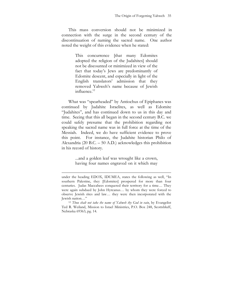This mass conversion should not be minimized in connection with the surge in the second century of the discontinuation of naming the sacred name. One author noted the weight of this evidence when he stated:

> This concurrence [that many Edomites adopted the religion of the Judahites] should not be discounted or minimized in view of the fact that today's Jews are predominantly of Edomite descent, and especially in light of the English translators' admission that they removed Yahweh's name because of Jewish influence. $12$

What was "spearheaded" by Antiochus of Epiphanes was continued by Judahite Israelites, as well as Edomite "Judahites", and has continued down to us in this day and time. Seeing that this all began in the second century B.C. we could safely presume that the prohibition regarding not speaking the sacred name was in full force at the time of the Messiah. Indeed, we do have sufficient evidence to prove this point. For instance, the Judahite historian Philo of Alexandria (20 B.C. – 50 A.D.) acknowledges this prohibition in his record of history.

> ...and a golden leaf was wrought like a crown, having four names engraved on it which may

under the heading EDOX, IDUMEA, states the following as well, "In southern Palestine, they [Edomites] prospered for more than four centuries. Judas Maccabees conquered their territory for a time… They were again subdued by John Hyrcanus… by whom they were forced to observe Jewish rites and law… they were then incorporated with the Jewish nation…"

 $12$  Thou shalt not take the name of Yahweh thy God in vain, by Evangelist Ted R. Weiland, Mission to Israel Ministries, P.O. Box 248, Scottsbluff, Nebraska 69363, pg. 14.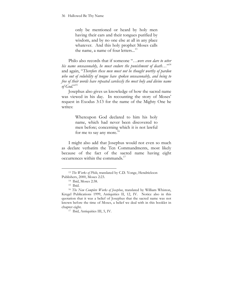only be mentioned or heard by holy men having their ears and their tongues purified by wisdom, and by no one else at all in any place whatever. And this holy prophet Moses calls the name, a name of four letters...<sup>13</sup>

Philo also records that if someone "…were even dare to utter his name unseasonably, he must endure the punishment of death..."<sup>14</sup> and again, "Therefore these men must not be thought worthy of pardon who out of volubility of tongue have spoken unseasonably, and being to free of their words have repeated carelessly the most holy and divine name of God." 15

Josephus also gives us knowledge of how the sacred name was viewed in his day. In recounting the story of Moses' request in Exodus 3:13 for the name of the Mighty One he writes:

> Whereupon God declared to him his holy name, which had never been discovered to men before; concerning which it is not lawful for me to say any more.<sup>16</sup>

I might also add that Josephus would not even so much as declare verbatim the Ten Commandments, most likely because of the fact of the sacred name having eight occurrences within the commands.<sup>17</sup>

l

<sup>&</sup>lt;sup>13</sup> The Works of Philo, translated by C.D. Yonge, Hendrickson Publishers, 2000, Moses 2:23.

<sup>14</sup> Ibid, Moses 2:38.

<sup>15</sup> Ibid.

<sup>&</sup>lt;sup>16</sup> The New Complete Works of Josephus, translated by William Whiston, Kregel Publications 1999, Antiquities II, 12, IV. Notice also in this quotation that it was a belief of Josephus that the sacred name was not known before the time of Moses, a belief we deal with in this booklet in chapter eight.

<sup>17</sup> Ibid, Antiquities III, 5, IV.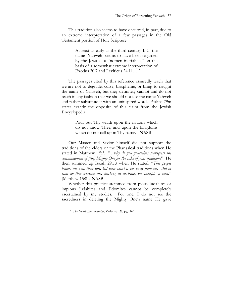This tradition also seems to have occurred, in part, due to an extreme interpretation of a few passages in the Old Testament portion of Holy Scripture.

> At least as early as the third century B.C. the name [Yahweh] seems to have been regarded by the Jews as a "nomen ineffabile," on the basis of a somewhat extreme interpretation of Exodus 20:7 and Leviticus 24:11…<sup>18</sup>

The passages cited by this reference assuredly teach that we are not to degrade, curse, blaspheme, or bring to naught the name of Yahweh, but they definitely cannot and do not teach in any fashion that we should not use the name Yahweh and rather substitute it with an uninspired word. Psalms 79:6 states exactly the opposite of this claim from the Jewish Encyclopedia.

> Pour out Thy wrath upon the nations which do not know Thee, and upon the kingdoms which do not call upon Thy name. [NASB]

Our Master and Savior himself did not support the traditions of the elders or the Pharisaical traditions when He stated in Matthew 15:3, "...why do you yourselves transgress the commandment of [the] Mighty One for the sake of your tradition?" He then summed up Isaiah 29:13 when He stated, "This people honors me with their lips, but their heart is far away from me. But in vain do they worship me, teaching as doctrines the precepts of men." [Matthew 15:8-9 NASB]

Whether this practice stemmed from pious Judahites or impious Judahites and Edomites cannot be completely ascertained by my studies. For one, I do not see the sacredness in deleting the Mighty One's name He gave

 $\overline{a}$ 

<sup>&</sup>lt;sup>18</sup> The Jewish Encyclopedia, Volume IX, pg. 161.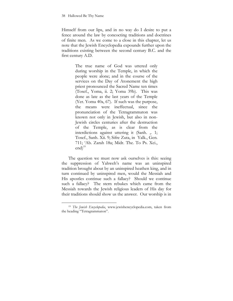Himself from our lips, and in no way do I desire to put a fence around the law by concocting traditions and doctrines of finite men. As we come to a close in this chapter, let us note that the Jewish Encyclopedia expounds further upon the traditions existing between the second century B.C. and the first century A.D.

> The true name of God was uttered only during worship in the Temple, in which the people were alone; and in the course of the services on the Day of Atonement the high priest pronounced the Sacred Name ten times (Tosef., Yoma, ii. 2; Yoma 39b). This was done as late as the last years of the Temple (Yer. Yoma 40a, 67). If such was the purpose, the means were ineffectual, since the pronunciation of the Tetragrammaton was known not only in Jewish, but also in non-Jewish circles centuries after the destruction of the Temple, as is clear from the interdictions against uttering it (Sanh. , 1; Tosef., Sanh. Xii. 9; Sifre Zuta, in Yalk., Gen. 711; 'Ab. Zarah 18a; Midr. The. To Ps. Xci.,  $end$ <sup>19</sup>

The question we must now ask ourselves is this: seeing the suppression of Yahweh's name was an uninspired tradition brought about by an uninspired heathen king, and in turn continued by uninspired men, would the Messiah and His apostles continue such a fallacy? Should we continue such a fallacy? The stern rebukes which came from the Messiah towards the Jewish religious leaders of His day for their traditions should show us the answer. Our worship is in

 $\overline{a}$ 

<sup>&</sup>lt;sup>19</sup> The Jewish Encyclopedia, www.jewishencyclopedia.com, taken from the heading "Tetragrammaton".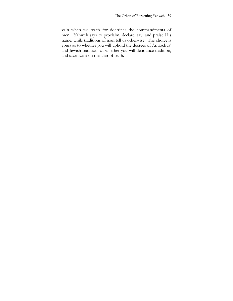vain when we teach for doctrines the commandments of men. Yahweh says to proclaim, declare, say, and praise His name, while traditions of man tell us otherwise. The choice is yours as to whether you will uphold the decrees of Antiochus' and Jewish tradition, or whether you will denounce tradition, and sacrifice it on the altar of truth.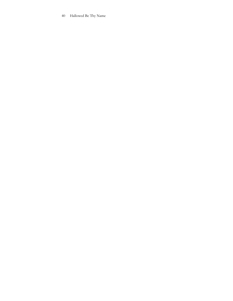40 Hallowed Be Thy Name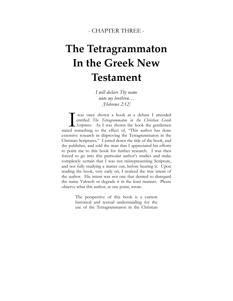# The Tetragrammaton In the Greek New Testament

I will declare Thy name unto my brethren… [Hebrews 2:12]

 was once shown a book at a debate I attended entitled The Tetragrammaton in the Christian Greek  $\Box$  Scriptures. As I was shown the book the gentlemen was once shown a book at a debate I attended<br>entitled *The Tetragrammaton in the Christian Greek*<br>Scriptures. As I was shown the book the gentlemen<br>stated something to the effect of, "This author has done extensive research in disproving the Tetragrammaton in the Christian Scriptures." I jotted down the title of the book, and the publisher, and told the man that I appreciated his efforts to point me to this book for further research. I was then forced to go into this particular author's studies and make completely certain that I was not misrepresenting Scripture, and not fully studying a matter out, before hearing it. Upon reading the book, very early on, I noticed the true intent of the author. His intent was not one that desired to disregard the name Yahweh or degrade it in the least manner. Please observe what this author, at one point, wrote.

> The perspective of this book is a current historical and textual understanding for the use of the Tetragrammaton in the Christian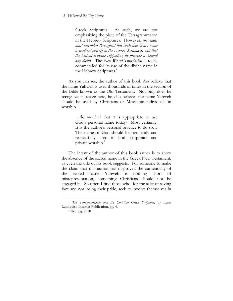Greek Scriptures. As such, we are not emphasizing the place of the Tetragrammaton in the Hebrew Scriptures. However, the reader must remember throughout this book that God's name is used extensively in the Hebrew Scriptures, and that the textual evidence supporting its presence is beyond any doubt. The New World Translation is to be commended for its use of the divine name in the Hebrew Scriptures.<sup>1</sup>

As you can see, the author of this book *does* believe that the name Yahweh is used thousands of times in the section of the Bible known as the Old Testament. Not only does he recognize its usage here, he also believes the name Yahweh should be used by Christians or Messianic individuals in worship.

> …do we feel that it is appropriate to use God's personal name today? Most certainly! It is the author's personal practice to do so… The name of God should be frequently and respectfully used in both corporate and private worship.<sup>2</sup>

The intent of the author of this book rather is to show the absence of the sacred name in the Greek New Testament, as even the title of his book suggests. For someone to make the claim that this author has disproved the authenticity of the sacred name Yahweh is nothing short of misrepresentation, something Christians should not be engaged in. So often I find those who, for the sake of saving face and not losing their pride, seek to involve themselves in

 $\overline{a}$ 

<sup>&</sup>lt;sup>1</sup> The Tetragrammaton and the Christian Greek Scriptures, by Lynn Lundquist, Internet Publication, pg. 4.

<sup>2</sup> Ibid, pg. 9, 10.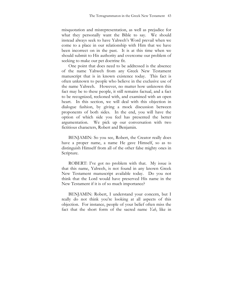misquotation and misrepresentation, as well as prejudice for what they personally want the Bible to say. We should instead always seek to have Yahweh's Word prevail when we come to a place in our relationship with Him that we have been incorrect on in the past. It is at this time when we should submit to His authority and overcome our problem of seeking to make our pet doctrine fit.

One point that does need to be addressed is the absence of the name Yahweh from any Greek New Testament manuscript that is in known existence today. This fact is often unknown to people who believe in the exclusive use of the name Yahweh. However, no matter how unknown this fact may be to these people, it still remains factual, and a fact to be recognized, reckoned with, and examined with an open heart. In this section, we will deal with this objection in dialogue fashion, by giving a mock discussion between proponents of both sides. In the end, you will have the option of which side you feel has presented the better argumentation. We pick up our conversation with two fictitious characters, Robert and Benjamin.

BENJAMIN: So you see, Robert, the Creator really does have a proper name, a name He gave Himself, so as to distinguish Himself from all of the other false mighty ones in Scripture.

ROBERT: I've got no problem with that. My issue is that this name, Yahweh, is not found in any known Greek New Testament manuscript available today. Do you not think that the Lord would have preserved His name in the New Testament if it is of so much importance?

BENJAMIN: Robert, I understand your concern, but I really do not think you're looking at all aspects of this objection. For instance, people of your belief often miss the fact that the short form of the sacred name Yah, like in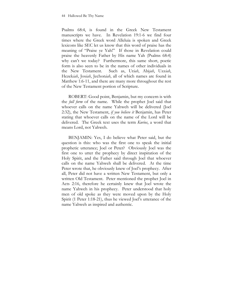Psalms 68:4, is found in the Greek New Testament manuscripts we have. In Revelation 19:1-6 we find four times where the Greek word Alleluia is spoken and Greek lexicons like SEC let us know that this word of praise has the meaning of "Praise ye Yah!" If those in Revelation could praise the heavenly Father by His name Yah (Psalms 68:4) why can't we today? Furthermore, this same short, poetic form is also seen to be in the names of other individuals in the New Testament. Such as, Uriah, Abijah, Uzziah, Hezek*iah*, Josiah, Jechoniah, all of which names are found in Matthew 1:6-11, and there are many more throughout the rest of the New Testament portion of Scripture.

ROBERT: Good point, Benjamin, but my concern is with the full form of the name. While the prophet Joel said that whoever calls on the name Yahweh will be delivered (Joel 2:32), the New Testament, *if you believe it* Benjamin, has Peter stating that whoever calls on the name of the Lord will be delivered. The Greek text uses the term *Kurios*, a word that means Lord, not Yahweh.

BENJAMIN: Yes, I do believe what Peter said, but the question is this: who was the first one to speak the initial prophetic utterance; Joel or Peter? Obviously Joel was the first one to utter the prophecy by direct inspiration of the Holy Spirit, and the Father said through Joel that whoever calls on the name Yahweh shall be delivered. At the time Peter wrote that, he obviously knew of Joel's prophecy. After all, Peter did not have a written New Testament, but only a written Old Testament. Peter mentioned the prophet Joel in Acts 2:16, therefore he certainly knew that Joel wrote the name Yahweh in his prophecy. Peter understood that holy men of old spoke as they were moved upon by the Holy Spirit (1 Peter 1:18-21), thus he viewed Joel's utterance of the name Yahweh as inspired and authentic.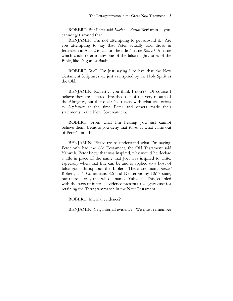ROBERT: But Peter said Kurios... Kurios Benjamin... you cannot get around that.

BENJAMIN: I'm not attempting to get around it. Are you attempting to say that Peter actually told those in Jerusalem in Acts 2 to call on the title / name Kurios? A name which could refer to any one of the false mighty ones of the Bible, like Dagon or Baal?

ROBERT: Well, I'm just saying I believe that the New Testament Scriptures are just as inspired by the Holy Spirit as the Old.

BENJAMIN: Robert… you think I don't? Of course I believe they are inspired, breathed out of the very mouth of the Almighty, but that doesn't do away with what was *written* by inspiration at the time Peter and others made their statements in the New Covenant era.

ROBERT: From what I'm hearing you just cannot believe them, because you deny that *Kurios* is what came out of Peter's mouth.

BENJAMIN: Please try to understand what I'm saying. Peter only had the Old Testament, the Old Testament said Yahweh, Peter knew that was inspired, why would he declare a title in place of the name that Joel was inspired to write, especially when that title can be and is applied to a host of false gods throughout the Bible? There are many kurios' Robert, as 1 Corinthians 8:6 and Deuteronomy 10:17 state, but there is only one who is named Yahweh. This, coupled with the facts of internal evidence presents a weighty case for retaining the Tetragrammaton in the New Testament.

ROBERT: Internal evidence?

BENJAMIN: Yes, internal evidence. We must remember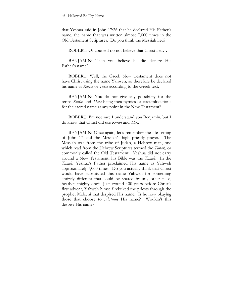that Yeshua said in John 17:26 that he declared His Father's name, the name that was written almost 7,000 times in the Old Testament Scriptures. Do you think the Messiah lied?

ROBERT: Of course I do not believe that Christ lied…

BENJAMIN: Then you believe he did declare His Father's name?

ROBERT: Well, the Greek New Testament does not have Christ using the name Yahweh, so therefore he declared his name as *Kurios* or *Theos* according to the Greek text.

BENJAMIN: You do not give any possibility for the terms Kurios and Theos being metonymies or circumlocutions for the sacred name at any point in the New Testament?

ROBERT: I'm not sure I understand you Benjamin, but I do know that Christ did use Kurios and Theos.

BENJAMIN: Once again, let's remember the life setting of John 17 and the Messiah's high priestly prayer. The Messiah was from the tribe of Judah, a Hebrew man, one which read from the Hebrew Scriptures termed the Tanak, or commonly called the Old Testament. Yeshua did not carry around a New Testament, his Bible was the Tanak. In the Tanak, Yeshua's Father proclaimed His name as Yahweh approximately 7,000 times. Do you actually think that Christ would have substituted this name Yahweh for something entirely different that could be shared by any other false, heathen mighty one? Just around 400 years before Christ's first advent, Yahweh himself rebuked the priests through the prophet Malachi that despised His name. Is he now okaying those that choose to substitute His name? Wouldn't this despise His name?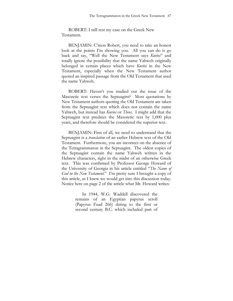ROBERT: I still rest my case on the Greek New Testament.

BENJAMIN: C'mon Robert, you need to take an honest look at the points I'm showing you. All you can do is go back and say, "Well the New Testament says Kurios" and totally ignore the possibility that the name Yahweh originally belonged in certain places which have *Kurios* in the New Testament, especially when the New Testament author quoted an inspired passage from the Old Testament that used the name Yahweh.

ROBERT: Haven't you studied out the issue of the Masoretic text verses the Septuagint? Most quotations by New Testament authors quoting the Old Testament are taken from the Septuagint text which does not contain the name Yahweh, but instead has *Kurios* or *Theos*. I might add that the Septuagint text predates the Masoretic text by 1,000 plus years, and therefore should be considered the superior text.

BENJAMIN: First of all, we need to understand that the Septuagint is a translation of an earlier Hebrew text of the Old Testament. Furthermore, you are incorrect on the absence of the Tetragrammaton in the Septuagint. The oldest copies of the Septuagint contain the name Yahweh written in the Hebrew characters, right in the midst of an otherwise Greek text. This was confirmed by Professor George Howard of the University of Georgia in his article entitled "The Name of God in the New Testament." I'm pretty sure I brought a copy of this article, as I knew we would get into this discussion today. Notice here on page 2 of the article what Mr. Howard writes:

> In 1944, W.G. Waddell discovered the remains of an Egyptian papyrus scroll (Papyrus Fuad 266) dating to the first or second century B.C. which included part of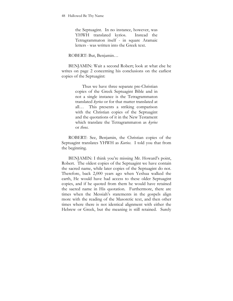the Septuagint. In no instance, however, was YHWH translated kyrios. Instead the Tetragrammaton itself - in square Aramaic letters - was written into the Greek text.

ROBERT: But, Benjamin…

BENJAMIN: Wait a second Robert; look at what else he writes on page 2 concerning his conclusions on the earliest copies of the Septuagint:

> Thus we have three separate pre-Christian copies of the Greek Septuagint Bible and in not a single instance is the Tetragrammaton translated kyrios or for that matter translated at all… This presents a striking comparison with the Christian copies of the Septuagint and the quotations of it in the New Testament which translate the Tetragrammaton as kyrios or theos.

ROBERT: See, Benjamin, the Christian copies of the Septuagint translates YHWH as *Kurios*. I told you that from the beginning.

BENJAMIN: I think you're missing Mr. Howard's point, Robert. The oldest copies of the Septuagint we have contain the sacred name, while later copies of the Septuagint do not. Therefore, back 2,000 years ago when Yeshua walked the earth, He would have had access to these older Septuagint copies, and if he quoted from them he would have retained the sacred name in His quotation. Furthermore, there are times when the Messiah's statements in the gospels align more with the reading of the Masoretic text, and then other times where there is not identical alignment with either the Hebrew or Greek, but the meaning is still retained. Surely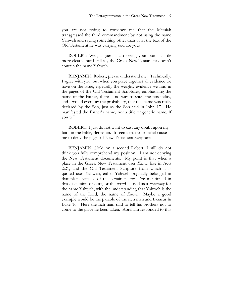you are not trying to convince me that the Messiah transgressed the third commandment by not using the name Yahweh and saying something other than what the text of the Old Testament he was carrying said are you?

ROBERT: Well, I guess I am seeing your point a little more clearly, but I still say the Greek New Testament doesn't contain the name Yahweh.

BENJAMIN: Robert, please understand me. Technically, I agree with you, but when you place together all evidence we have on the issue, especially the weighty evidence we find in the pages of the Old Testament Scriptures, emphasizing the name of the Father, there is no way to shun the possibility, and I would even say the probability, that this name was really declared by the Son, just as the Son said in John 17. He manifested the Father's name, not a title or generic name, if you will.

ROBERT: I just do not want to cast any doubt upon my faith in the Bible, Benjamin. It seems that your belief causes me to deny the pages of New Testament Scripture.

BENJAMIN: Hold on a second Robert, I still do not think you fully comprehend my position. I am not denying the New Testament documents. My point is that when a place in the Greek New Testament uses Kurios, like in Acts 2:21, and the Old Testament Scripture from which it is quoted uses Yahweh, either Yahweh originally belonged in that place because of the certain factors I've mentioned in this discussion of ours, or the word is used as a metonymy for the name Yahweh, with the understanding that Yahweh is the name of the Lord, the name of Kurios. Maybe a good example would be the parable of the rich man and Lazarus in Luke 16. Here the rich man said to tell his brothers not to come to the place he been taken. Abraham responded to this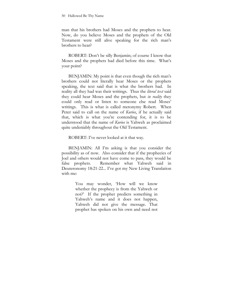man that his brothers had Moses and the prophets to hear. Now, do you believe Moses and the prophets of the Old Testament were still alive speaking for the rich man's brothers to hear?

ROBERT: Don't be silly Benjamin; of course I know that Moses and the prophets had died before this time. What's your point?

BENJAMIN: My point is that even though the rich man's brothers could not literally hear Moses or the prophets speaking, the text said that is what the brothers had. In reality all they had was their writings. Thus the *literal text* said they could hear Moses and the prophets, but *in reality* they could only read or listen to someone else read Moses' writings. This is what is called metonymy Robert. When Peter said to call on the name of *Kurios*, if he actually said that, which is what you're contending for, it is to be understood that the name of Kurios is Yahweh as proclaimed quite undeniably throughout the Old Testament.

ROBERT: I've never looked at it that way.

BENJAMIN: All I'm asking is that you consider the possibility as of now. Also consider that if the prophecies of Joel and others would not have come to pass, they would be false prophets. Remember what Yahweh said in Deuteronomy 18:21-22... I've got my New Living Translation with me:

> You may wonder, 'How will we know whether the prophecy is from the Yahweh or not?' If the prophet predicts something in Yahweh's name and it does not happen, Yahweh did not give the message. That prophet has spoken on his own and need not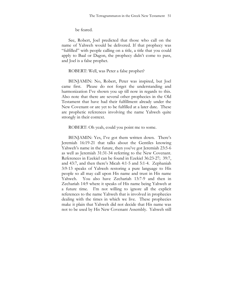be feared.

See, Robert, Joel predicted that those who call on the name of Yahweh would be delivered. If that prophecy was "fulfilled" with people calling on a title, a title that you could apply to Baal or Dagon, the prophecy didn't come to pass, and Joel is a false prophet.

#### ROBERT: Well, was Peter a false prophet?

BENJAMIN: No, Robert, Peter was inspired, but Joel came first. Please do not forget the understanding and harmonization I've shown you up till now in regards to this. Also note that there are several other prophecies in the Old Testament that have had their fulfillment already under the New Covenant or are yet to be fulfilled at a later date. These are prophetic references involving the name Yahweh quite strongly in their context.

#### ROBERT: Oh yeah, could you point me to some.

BENJAMIN: Yes, I've got them written down. There's Jeremiah 16:19-21 that talks about the Gentiles knowing Yahweh's name in the future, then you've got Jeremiah 23:5-6 as well as Jeremiah 31:31-34 referring to the New Covenant. References in Ezekiel can be found in Ezekiel 36:23-27; 39:7, and 43:7, and then there's Micah 4:1-5 and 5:1-4. Zephaniah 3:9-13 speaks of Yahweh restoring a pure language to His people so all may call upon His name and trust in His name Yahweh. You also have Zechariah 13:7-9 and then in Zechariah 14:9 where it speaks of His name being Yahweh at a future time. I'm not willing to ignore all the explicit references to the name Yahweh that is involved in prophecies dealing with the times in which we live. These prophecies make it plain that Yahweh did not decide that His name was not to be used by His New Covenant Assembly. Yahweh still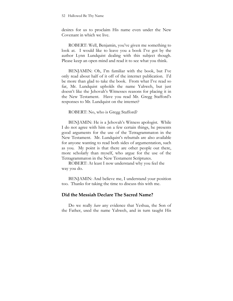desires for us to proclaim His name even under the New Covenant in which we live.

ROBERT: Well, Benjamin, you've given me something to look at. I would like to leave you a book I've got by the author Lynn Lundquist dealing with this subject though. Please keep an open mind and read it to see what you think.

BENJAMIN: Oh, I'm familiar with the book, but I've only read about half of it off of the internet publication. I'd be more than glad to take the book. From what I've read so far, Mr. Lundquist upholds the name Yahweh, but just doesn't like the Jehovah's Witnesses reasons for placing it in the New Testament. Have you read Mr. Gregg Stafford's responses to Mr. Lundquist on the internet?

#### ROBERT: No, who is Gregg Stafford?

BENJAMIN: He is a Jehovah's Witness apologist. While I do not agree with him on a few certain things, he presents good arguments for the use of the Tetragrammaton in the New Testament. Mr. Lundquist's rebuttals are also available for anyone wanting to read both sides of argumentation, such as you. My point is that there are other people out there, more scholarly than myself, who argue for the use of the Tetragrammaton in the New Testament Scriptures.

ROBERT: At least I now understand why you feel the way you do.

BENJAMIN: And believe me, I understand your position too. Thanks for taking the time to discuss this with me.

#### Did the Messiah Declare The Sacred Name?

Do we really *have* any evidence that Yeshua, the Son of the Father, used the name Yahweh, and in turn taught His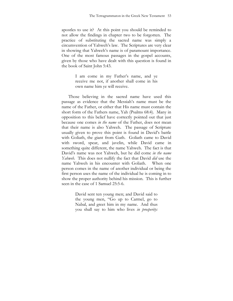apostles to use it? At this point you should be reminded to not allow the findings in chapter two to be forgotten. The practice of substituting the sacred name was simply a circumvention of Yahweh's law. The Scriptures are very clear in showing that Yahweh's name is of paramount importance. One of the most famous passages in the gospel accounts, given by those who have dealt with this question is found in the book of Saint John 5:43.

> I am come in my Father's name, and ye receive me not, if another shall come in his own name him ye will receive.

Those believing in the sacred name have used this passage as evidence that the Messiah's name must be the name of the Father, or either that His name must contain the short form of the Fathers name, Yah (Psalms 68:4). Many in opposition to this belief have correctly pointed out that just because one comes in the name of the Father, does not mean that their name is also Yahweh. The passage of Scripture usually given to prove this point is found in David's battle with Goliath, the giant from Gath. Goliath came to David with sword, spear, and javelin, while David came in something quite different, the name Yahweh. The fact is that David's name was not Yahweh, but he did come in the name Yahweh. This does not nullify the fact that David did use the name Yahweh in his encounter with Goliath. When one person comes in the name of another individual or being the first person uses the name of the individual he is coming in to show the proper authority behind his mission. This is further seen in the case of 1 Samuel 25:5-6.

> David sent ten young men; and David said to the young men, "Go up to Carmel, go to Nabal, and greet him in my name. And thus you shall say to him who lives in prosperity: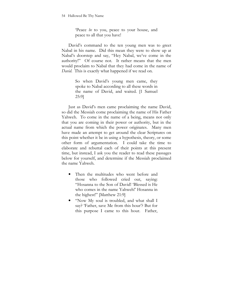'Peace be to you, peace to your house, and peace to all that you have!

David's command to the ten young men was to greet Nabal in his name. Did this mean they were to show up at Nabal's doorstep and say, "Hey Nabal, we've come in the authority!" Of course not. It rather means that the men would proclaim to Nabal that they had come in the name of David. This is exactly what happened if we read on.

> So when David's young men came, they spoke to Nabal according to all these words in the name of David, and waited. [1 Samuel 25:9]

Just as David's men came proclaiming the name David, so did the Messiah come proclaiming the name of His Father Yahweh. To come in the name of a being, means not only that you are coming in their power or authority, but in the actual name from which the power originates. Many men have made an attempt to get around the clear Scriptures on this point whether it be in using a hypothesis, theory, or some other form of argumentation. I could take the time to elaborate and rebuttal each of their points at this present time, but instead, I ask you the reader to read these passages below for yourself, and determine if the Messiah proclaimed the name Yahweh.

- Then the multitudes who went before and those who followed cried out, saying: "Hosanna to the Son of David! 'Blessed is He who comes in the name Yahweh!' Hosanna in the highest!" [Matthew 21:9]
- "Now My soul is troubled, and what shall I say? 'Father, save Me from this hour'? But for this purpose I came to this hour. Father,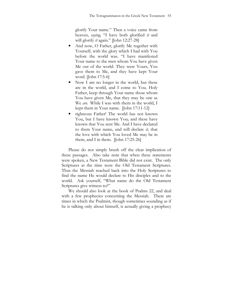glorify Your name." Then a voice came from heaven, saying, "I have both glorified it and will glorify it again." [John 12:27-28]

- And now, O Father, glorify Me together with Yourself, with the glory which I had with You before the world was. "I have manifested Your name to the men whom You have given Me out of the world. They were Yours, You gave them to Me, and they have kept Your word. [John 17:5-6]
- Now I am no longer in the world, but these are in the world, and I come to You. Holy Father, keep through Your name those whom You have given Me, that they may be one as We are. While I was with them in the world, I kept them in Your name. [John 17:11-12]
- righteous Father! The world has not known You, but I have known You; and these have known that You sent Me. And I have declared to them Your name, and will declare it, that the love with which You loved Me may be in them, and I in them. [John 17:25-26]

Please do not simply brush off the clear implication of these passages. Also take note that when these statements were spoken, a New Testament Bible did not exist. The only Scriptures at the time were the Old Testament Scriptures. Thus the Messiah reached back into the Holy Scriptures to find the name He would declare to His disciples and to the world. Ask yourself, "What name do the Old Testament Scriptures give witness to?"

We should also look at the book of Psalms 22, and deal with a few prophecies concerning the Messiah. There are times in which the Psalmist, though sometimes sounding as if he is talking only about himself, is actually giving a prophecy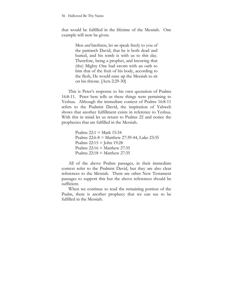that would be fulfilled in the lifetime of the Messiah. One example will now be given.

> Men *and* brethren, let *me* speak freely to you of the patriarch David, that he is both dead and buried, and his tomb is with us to this day. Therefore, being a prophet, and knowing that (the) Mighty One had sworn with an oath to him that of the fruit of his body, according to the flesh, He would raise up the Messiah to sit on his throne. [Acts 2:29-30]

This is Peter's response to his own quotation of Psalms 16:8-11. Peter here tells us these things were pertaining to Yeshua. Although the immediate context of Psalms 16:8-11 refers to the Psalmist David, the inspiration of Yahweh shows that another fulfillment exists in reference to Yeshua. With this in mind let us return to Psalms 22 and notice the prophecies that are fulfilled in the Messiah.

> Psalms  $22:1 =$  Mark  $15:34$ Psalms 22:6-8 = Matthew 27:39-44, Luke 23:35 Psalms 22:15 = John 19:28 Psalms  $22:16 = \text{Matthew } 27:35$ Psalms  $22:18 = \text{Matthew } 27:35$

All of the above Psalms passages, in their immediate context refer to the Psalmist David, but they are also clear references to the Messiah. There are other New Testament passages to support this but the above references should be sufficient.

When we continue to read the remaining portion of the Psalm, there is another prophecy that we can see to be fulfilled in the Messiah.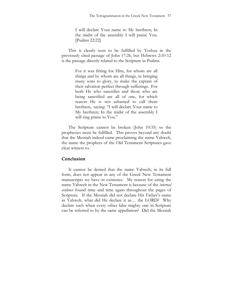I will declare Your name to My brethren; In the midst of the assembly I will praise You. [Psalms 22:22]

This is clearly seen to be fulfilled by Yeshua in the previously cited passage of John 17:26, but Hebrews 2:10-12 is the passage directly related to the Scripture in Psalms.

> For it was fitting for Him, for whom are all things and by whom are all things, in bringing many sons to glory, to make the captain of their salvation perfect through sufferings. For both He who sanctifies and those who are being sanctified are all of one, for which reason He is not ashamed to call them brethren, saying: "I will declare Your name to My brethren; In the midst of the assembly I will sing praise to You."

The Scripture cannot be broken (John 10:35) so the prophecies must be fulfilled. This proves beyond any doubt that the Messiah indeed came proclaiming the name Yahweh, the name the prophets of the Old Testament Scriptures gave clear witness to.

#### Conclusion

It cannot be denied that the name Yahweh, in its full form, does not appear in any of the Greek New Testament manuscripts we have in existence. My reason for using the name Yahweh in the New Testament is because of the internal evidence found time and time again throughout the pages of Scripture. If the Messiah did not declare His Father's name as Yahweh, what did He declare it as… the LORD? Why declare such when every other false mighty one in Scripture can be referred to by the same appellation? Did the Messiah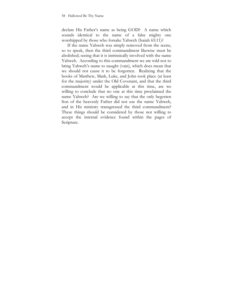declare His Father's name as being GOD? A name which sounds identical to the name of a false mighty one worshipped by those who forsake Yahweh (Isaiah 65:11)?

 If the name Yahweh was simply removed from the scene, so to speak, then the third commandment likewise must be abolished; seeing that it is intrinsically involved with the name Yahweh. According to this commandment we are told not to bring Yahweh's name to naught (vain), which does mean that we should not cause it to be forgotten. Realizing that the books of Matthew, Mark, Luke, and John took place (at least for the majority) under the Old Covenant, and that the third commandment would be applicable at this time, are we willing to conclude that no one at this time proclaimed the name Yahweh? Are we willing to say that the only begotten Son of the heavenly Father did not use the name Yahweh, and in His ministry transgressed the third commandment? These things should be considered by those not willing to accept the internal evidence found within the pages of Scripture.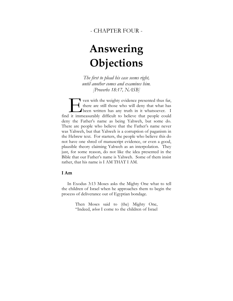# - CHAPTER FOUR -

# Answering Objections

The first to plead his case seems right, until another comes and examines him. [Proverbs 18:17, NASB]

**V** ven with the weighty evidence presented thus far, there are still those who will deny that what has been written has any truth in it whatsoever. I find it immeasurably difficult to believe that people could deny the Father's name as being Yahweh, but some do. There are people who believe that the Father's name never was Yahweh, but that Yahweh is a corruption of paganism in the Hebrew text. For starters, the people who believe this do not have one shred of manuscript evidence, or even a good, plausible theory claiming Yahweh as an interpolation. They just, for some reason, do not like the idea presented in the Bible that our Father's name is Yahweh. Some of them insist rather, that his name is I AM THAT I AM. E<br>it imm

#### I Am

 In Exodus 3:13 Moses asks the Mighty One what to tell the children of Israel when he approaches them to begin the process of deliverance out of Egyptian bondage.

> Then Moses said to (the) Mighty One, "Indeed, when I come to the children of Israel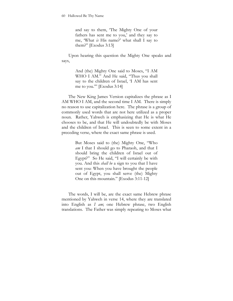and say to them, 'The Mighty One of your fathers has sent me to you,' and they say to me, 'What is His name?' what shall I say to them?" [Exodus 3:13]

Upon hearing this question the Mighty One speaks and says,

> And (the) Mighty One said to Moses, "I AM WHO I AM." And He said, "Thus you shall say to the children of Israel, 'I AM has sent me to you.'" [Exodus 3:14]

The New King James Version capitalizes the phrase as I AM WHO I AM, and the second time I AM. There is simply no reason to use capitalization here. The phrase is a group of commonly used words that are not here utilized as a proper noun. Rather, Yahweh is emphasizing that He is what He chooses to be, and that He will undoubtedly be with Moses and the children of Israel. This is seen to some extent in a preceding verse, where the exact same phrase is used.

> But Moses said to (the) Mighty One, "Who am I that I should go to Pharaoh, and that I should bring the children of Israel out of Egypt?" So He said, "I will certainly be with you. And this *shall be* a sign to you that I have sent you: When you have brought the people out of Egypt, you shall serve (the) Mighty One on this mountain." [Exodus 3:11-12]

The words, I will be, are the exact same Hebrew phrase mentioned by Yahweh in verse 14, where they are translated into English as I am; one Hebrew phrase, two English translations. The Father was simply repeating to Moses what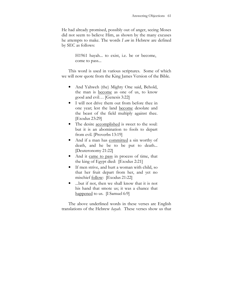He had already promised, possibly out of anger, seeing Moses did not seem to believe Him, as shown by the many excuses he attempts to make. The words I am in Hebrew are defined by SEC as follows:

> H1961 hayah... to exist, i.e. be or become, come to pass...

This word is used in various scriptures. Some of which we will now quote from the King James Version of the Bible.

- And Yahweh (the) Mighty One said, Behold, the man is become as one of us, to know good and evil… [Genesis 3:22]
- I will not drive them out from before thee in one year; lest the land become desolate and the beast of the field multiply against thee. [Exodus 23:29]
- The desire accomplished is sweet to the soul: but it is an abomination to fools to depart from evil. [Proverbs 13:19]
- And if a man has committed a sin worthy of death, and he be to be put to death... [Deuteronomy 21:22]
- And it came to pass in process of time, that the king of Egypt died: [Exodus 2:21]
- If men strive, and hurt a woman with child, so that her fruit depart from her, and yet no mischief follow: [Exodus 21:22]
- ...but if not, then we shall know that it is not his hand that smote us; it was a chance that happened to us.  $\left[$ I Samuel 6:9]

The above underlined words in these verses are English translations of the Hebrew hayah. These verses show us that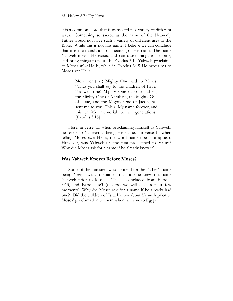it is a common word that is translated in a variety of different ways. Something so sacred as the name of the Heavenly Father would not have such a variety of different uses in the Bible. While this is not His name, I believe we can conclude that it is the translation, or meaning of His name. The name Yahweh means He exists, and can cause things to become, and bring things to pass. In Exodus 3:14 Yahweh proclaims to Moses what He is, while in Exodus 3:15 He proclaims to Moses who He is.

> Moreover (the) Mighty One said to Moses, "Thus you shall say to the children of Israel: 'Yahweh (the) Mighty One of your fathers, the Mighty One of Abraham, the Mighty One of Isaac, and the Mighty One of Jacob, has sent me to you. This is My name forever, and this is My memorial to all generations.' [Exodus 3:15]

Here, in verse 15, when proclaiming Himself as Yahweh, he refers to Yahweh as being His name. In verse 14 when telling Moses what He is, the word name does not appear. However, was Yahweh's name first proclaimed to Moses? Why did Moses ask for a name if he already knew it?

## Was Yahweh Known Before Moses?

Some of the ministers who contend for the Father's name being I am, have also claimed that no one knew the name Yahweh prior to Moses. This is concluded from Exodus 3:13, and Exodus 6:3 (a verse we will discuss in a few moments). Why did Moses ask for a name if he already had one? Did the children of Israel know about Yahweh prior to Moses' proclamation to them when he came to Egypt?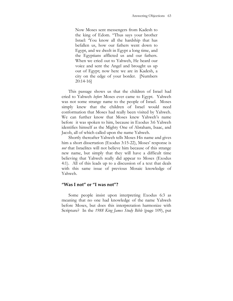Now Moses sent messengers from Kadesh to the king of Edom. "Thus says your brother Israel: 'You know all the hardship that has befallen us, how our fathers went down to Egypt, and we dwelt in Egypt a long time, and the Egyptians afflicted us and our fathers. When we cried out to Yahweh, He heard our voice and sent the Angel and brought us up out of Egypt; now here we are in Kadesh, a city on the edge of your border. [Numbers 20:14-16]

This passage shows us that the children of Israel had cried to Yahweh before Moses ever came to Egypt. Yahweh was not some strange name to the people of Israel. Moses simply knew that the children of Israel would need conformation that Moses had really been visited by Yahweh. We can further know that Moses knew Yahweh's name before it was spoken to him, because in Exodus 3:6 Yahweh identifies himself as the Mighty One of Abraham, Isaac, and Jacob, all of which called upon the name Yahweh.

Shortly thereafter Yahweh tells Moses His name and gives him a short dissertation (Exodus 3:15-22), Moses' response is not that Israelites will not believe him because of this strange new name, but simply that they will have a difficult time believing that Yahweh really did appear to Moses (Exodus 4:1). All of this leads up to a discussion of a text that deals with this same issue of previous Mosaic knowledge of Yahweh.

#### "Was I not" or "I was not"?

Some people insist upon interpreting Exodus 6:3 as meaning that no one had knowledge of the name Yahweh before Moses, but does this interpretation harmonize with Scripture? In the 1988 King James Study Bible (page 109), put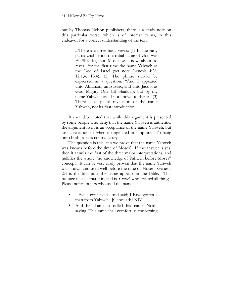out by Thomas Nelson publishers, there is a study note on this particular verse, which is of interest to us, in this endeavor for a correct understanding of the text.

> ...There are three basic views: (1) In the early patriarchal period the tribal name of God was El Shaddai, but Moses was now about to reveal for the first time the name Yahweh as the God of Israel (yet note Genesis 4:26; 12:1,4; 13:4). (2) The phrase should be expressed as a question: "And I appeared unto Abraham, unto Isaac, and unto Jacob, as God Mighty One (El Shaddai); but by my name Yahweh, was I not known to them?" (3) There is a special revelation of the name Yahweh, not its first introduction...

It should be noted that while this argument is presented by some people who deny that the name Yahweh is authentic, the argument itself is an acceptance of the name Yahweh, but just a rejection of when it originated in scripture. To hang onto both sides is contradictory.

The question is this: can we prove that the name Yahweh was known before the time of Moses? If the answer is yes, then it annuls the first of the three major interpretations, and nullifies the whole "no knowledge of Yahweh before Moses" concept. It can be very easily proven that the name Yahweh was known and used well before the time of Moses. Genesis 2:4 is the first time the name appears in the Bible. This passage tells us that it indeed is Yahweh who created all things. Please notice others who used the name.

- ...Eve... conceived... and said; I have gotten a man from Yahweh. [Genesis 4:1 KJV]
- And he (Lamech) called his name Noah, saying, This same shall comfort us concerning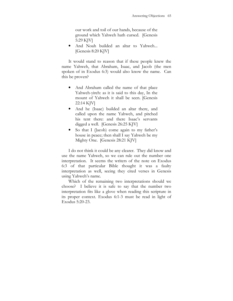our work and toil of our hands, because of the ground which Yahweh hath cursed. [Genesis 5:29 KJV]

• And Noah builded an altar to Yahweh... [Genesis 8:20 KJV]

It would stand to reason that if these people knew the name Yahweh, that Abraham, Isaac, and Jacob (the men spoken of in Exodus 6:3) would also know the name. Can this be proven?

- And Abraham called the name of that place Yahweh-yireh: as it is said to this day, In the mount of Yahweh it shall be seen. [Genesis 22:14 KJV]
- And he (Isaac) builded an altar there, and called upon the name Yahweh, and pitched his tent there: and there Isaac's servants digged a well. [Genesis 26:25 KJV]
- So that I (Jacob) come again to my father's house in peace; then shall I say Yahweh be my Mighty One. [Genesis 28:21 KJV]

I do not think it could be any clearer. They did know and use the name Yahweh, so we can rule out the number one interpretation. It seems the writers of the note on Exodus 6:3 of that particular Bible thought it was a faulty interpretation as well, seeing they cited verses in Genesis using Yahweh's name.

Which of the remaining two interpretations should we choose? I believe it is safe to say that the number two interpretation fits like a glove when reading this scripture in its proper context. Exodus 6:1-3 must be read in light of Exodus 5:20-23.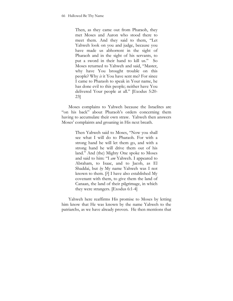Then, as they came out from Pharaoh, they met Moses and Aaron who stood there to meet them. And they said to them, "Let Yahweh look on you and judge, because you have made us abhorrent in the sight of Pharaoh and in the sight of his servants, to put a sword in their hand to kill us." So Moses returned to Yahweh and said, "Master, why have You brought trouble on this people? Why is it You have sent me? For since I came to Pharaoh to speak in Your name, he has done evil to this people; neither have You delivered Your people at all." [Exodus 5:20- 23]

Moses complains to Yahweh because the Israelites are "on his back" about Pharaoh's orders concerning them having to accumulate their own straw. Yahweh then answers Moses' complaints and groaning in His next breath.

> Then Yahweh said to Moses, "Now you shall see what I will do to Pharaoh. For with a strong hand he will let them go, and with a strong hand he will drive them out of his land." And (the) Mighty One spoke to Moses and said to him: "I *am* Yahweh. I appeared to Abraham, to Isaac, and to Jacob, as El Shaddai, but by My name Yahweh was I not known to them. [?] I have also established My covenant with them, to give them the land of Canaan, the land of their pilgrimage, in which they were strangers. [Exodus 6:1-4]

Yahweh here reaffirms His promise to Moses by letting him know that He was known by the name Yahweh to the patriarchs, as we have already proven. He then mentions that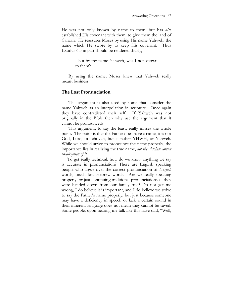He was not only known by name to them, but has also established His covenant with them, to give them the land of Canaan. He reassures Moses by using His name Yahweh, the name which He swore by to keep His covenant. Thus Exodus 6:3 in part should be rendered thusly,

> ...but by my name Yahweh, was I not known to them?

By using the name, Moses knew that Yahweh really meant business.

#### The Lost Pronunciation

This argument is also used by some that consider the name Yahweh as an interpolation in scripture. Once again they have contradicted their self. If Yahweh was not originally in the Bible then why use the argument that it cannot be pronounced?

This argument, to say the least, really misses the whole point. The point is that the Father does have a name, it is not God, Lord, or Jehovah, but is rather YHWH, or Yahweh. While we should strive to pronounce the name properly, the importance lies in realizing the true name, not the absolute correct vocalization of it.

 To get really technical, how do we know anything we say is accurate in pronunciation? There are English speaking people who argue over the correct pronunciation of English words, much less Hebrew words. Are we really speaking properly, or just continuing traditional pronunciations as they were handed down from our family tree? Do not get me wrong, I do believe it is important, and I do believe we strive to say the Father's name properly, but just because someone may have a deficiency in speech or lack a certain sound in their inherent language does not mean they cannot be saved. Some people, upon hearing me talk like this have said, "Well,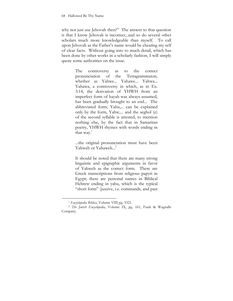why not just use Jehovah then?" The answer to that question is that I know Jehovah is incorrect, and so do several other scholars much more knowledgeable than myself. To call upon Jehovah as the Father's name would be cheating my self of clear facts. Without going into to much detail, which has been done by other works in a scholarly fashion, I will simply quote some authorities on the issue.

> The controversy as to the correct pronunciation of the Tetragrammaton, whether as Yahwe... Yahawe... Yahwa... Yahawa, a controversy in which, as in Ex. 3:14, the derivation of YHWH from an imperfect form of hayah was always assumed, has been gradually brought to an end... The abbreviated form, Yahu,... can be explained only by the form, Yahw,... and the seghol (e) of the second syllable is attested, to mention nothing else, by the fact that in Samaritan poetry, YHWH rhymes with words ending in that way.<sup>1</sup>

...the original pronunciation must have been Yahweh or Yahaweh...<sup>2</sup>

It should be noted that there are many strong linguistic and epigraphic arguments in favor of Yahweh as the correct form. There are Greek transcriptions from religious papyri in Egypt; there are personal names in Biblical Hebrew ending in yahu, which is the typical "short form" (jussive, i.e. commands, and past

 $\overline{a}$ 

<sup>1</sup> Encyclopedia Biblica, Volume VIII pg. 3321.

<sup>&</sup>lt;sup>2</sup> The Jewish Encyclopedia, Volume IX, pg. 161, Funk & Wagnalls Company.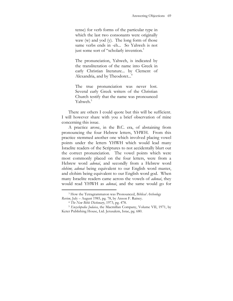tense) for verb forms of the particular type in which the last two consonants were originally waw (w) and yod (y). The long form of those same verbs ends in -eh... So Yahweh is not just some sort of "scholarly invention.<sup>3</sup>

The pronunciation, Yahweh, is indicated by the transliteration of the name into Greek in early Christian literature... by Clement of Alexandria, and by Theodoret...<sup>4</sup>

The true pronunciation was never lost. Several early Greek writers of the Christian Church testify that the name was pronounced Yahweh.<sup>5</sup>

There are others I could quote but this will be sufficient. I will however share with you a brief observation of mine concerning this issue.

A practice arose, in the B.C. era, of abstaining from pronouncing the four Hebrew letters, YHWH. From this practice stemmed another one which involved placing vowel points under the letters YHWH which would lead many Israelite readers of the Scriptures to not accidentally blurt out the correct pronunciation. The vowel points which were most commonly placed on the four letters, were from a Hebrew word *adonai*, and secondly from a Hebrew word elohim; adonai being equivalent to our English word master, and elohim being equivalent to our English word god. When many Israelite readers came across the vowels of *adonai*, they would read YHWH as *adonai*, and the same would go for

 $\overline{a}$ 

<sup>&</sup>lt;sup>3</sup> How the Tetragrammaton was Pronounced, Biblical Archeology Review, July – August 1985, pg. 78, by Anson F. Rainey.

<sup>4</sup> The New Bible Dictionary, 1973, pg. 478.

<sup>&</sup>lt;sup>5</sup> Encyclopedia Judaica, the Macmillan Company, Volume VII, 1971, by Keter Publishing House, Ltd. Jerusalem, Israe, pg. 680.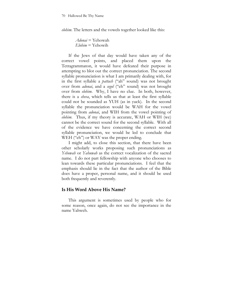elohim. The letters and the vowels together looked like this:

Adonai = Yehowah  $E\text{lohim} = Yehowih$ 

If the Jews of that day would have taken any of the correct vowel points, and placed them upon the Tetragrammaton, it would have defeated their purpose in attempting to blot out the correct pronunciation. The second syllable pronunciation is what I am primarily dealing with, for in the first syllable a *pattach* ("ah" sound) was not brought over from *adonai*, and a segol ("eh" sound) was not brought over from *elohim*. Why, I have no clue. In both, however, there is a sheva, which tells us that at least the first syllable could not be sounded as YUH (as in yuck). In the second syllable the pronunciation would be WAH for the vowel pointing from adonai, and WIH from the vowel pointing of elohim. Thus, if my theory is accurate, WAH or WIH (we) cannot be the correct sound for the second syllable. With all of the evidence we have concerning the correct second syllable pronunciation, we would be led to conclude that WEH ("eh") or WAY was the proper ending.

I might add, to close this section, that there have been other scholarly works proposing such pronunciations as Yehowah or Yahuwah as the correct vocalization of the sacred name. I do not part fellowship with anyone who chooses to lean towards these particular pronunciations. I feel that the emphasis should lie in the fact that the author of the Bible does have a proper, personal name, and it should be used both frequently and reverently.

#### Is His Word Above His Name?

This argument is sometimes used by people who for some reason, once again, do not see the importance in the name Yahweh.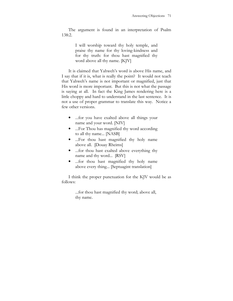The argument is found in an interpretation of Psalm 138:2.

> I will worship toward thy holy temple, and praise thy name for thy loving-kindness and for thy truth: for thou hast magnified thy word above all thy name. [KJV]

It is claimed that Yahweh's word is above His name, and I say that if it is, what is really the point? It would not teach that Yahweh's name is not important or magnified, just that His word is more important. But this is not what the passage is saying at all. In fact the King James rendering here is a little choppy and hard to understand in the last sentence. It is not a use of proper grammar to translate this way. Notice a few other versions.

- ...for you have exalted above all things your name and your word. [NIV]
- ...For Thou has magnified thy word according to all thy name... [NASB]
- ...For thou hast magnified thy holy name above all. [Douay Rheims]
- ...for thou hast exalted above everything thy name and thy word... [RSV]
- ...for thou hast magnified thy holy name above every thing... [Septuagint translation]

I think the proper punctuation for the KJV would be as follows:

> ...for thou hast magnified thy word; above all, thy name.